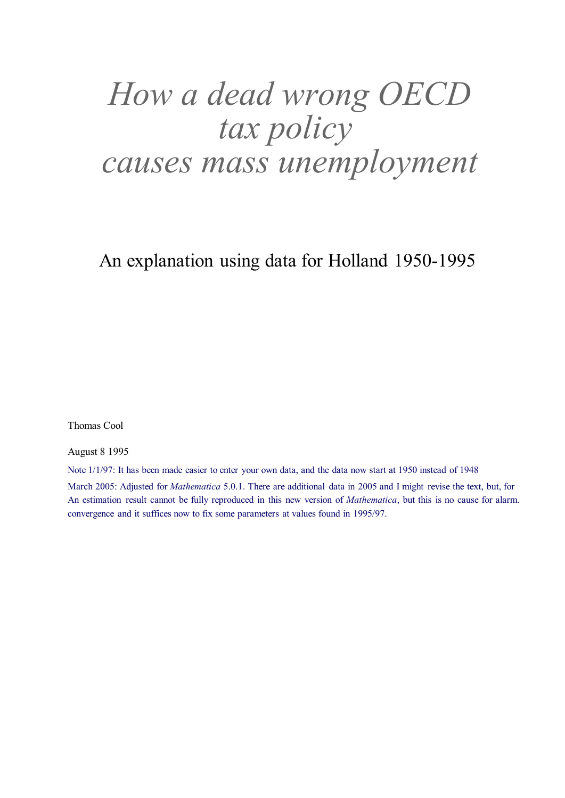# *How a dead wrong OECD tax policy causes mass unemployment*

An explanation using data for Holland 1950-1995

Thomas Cool

August 8 1995

Note 1/1/97: It has been made easier to enter your own data, and the data now start at 1950 instead of 1948

March 2005: Adjusted for *Mathematica* 5.0.1. There are additional data in 2005 and I might revise the text, but, for An estimation result cannot be fully reproduced in this new version of *Mathematica*, but this is no cause for alarm. convergence and it suffices now to fix some parameters at values found in 1995/97.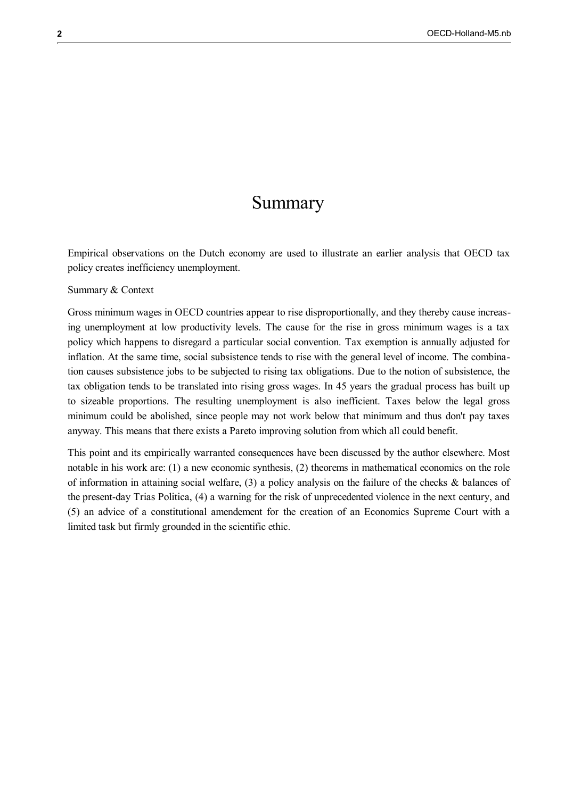## Summary

Empirical observations on the Dutch economy are used to illustrate an earlier analysis that OECD tax policy creates inefficiency unemployment.

#### Summary & Context

Gross minimum wages in OECD countries appear to rise disproportionally, and they thereby cause increasing unemployment at low productivity levels. The cause for the rise in gross minimum wages is a tax policy which happens to disregard a particular social convention. Tax exemption is annually adjusted for inflation. At the same time, social subsistence tends to rise with the general level of income. The combination causes subsistence jobs to be subjected to rising tax obligations. Due to the notion of subsistence, the tax obligation tends to be translated into rising gross wages. In 45 years the gradual process has built up to sizeable proportions. The resulting unemployment is also inefficient. Taxes below the legal gross minimum could be abolished, since people may not work below that minimum and thus don't pay taxes anyway. This means that there exists a Pareto improving solution from which all could benefit.

This point and its empirically warranted consequences have been discussed by the author elsewhere. Most notable in his work are: (1) a new economic synthesis, (2) theorems in mathematical economics on the role of information in attaining social welfare,  $(3)$  a policy analysis on the failure of the checks & balances of the present-day Trias Politica, (4) a warning for the risk of unprecedented violence in the next century, and (5) an advice of a constitutional amendement for the creation of an Economics Supreme Court with a limited task but firmly grounded in the scientific ethic.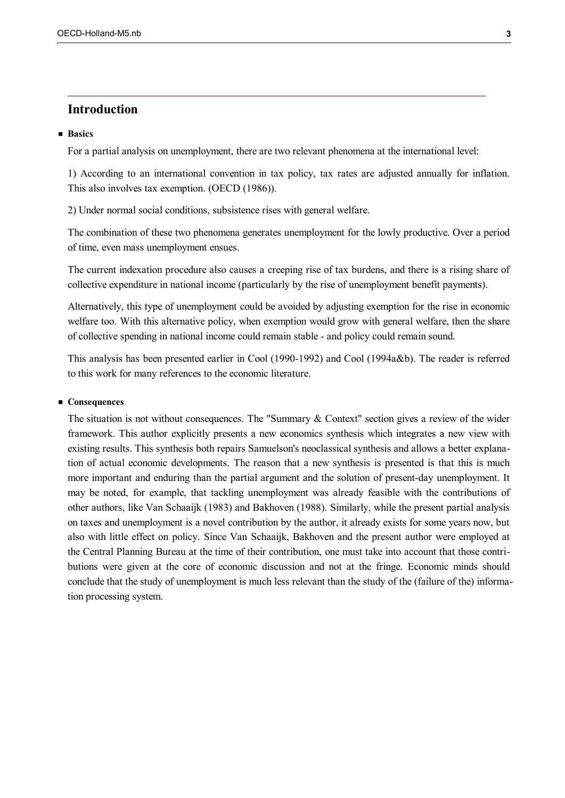## **Introduction**

## **Basics**

For a partial analysis on unemployment, there are two relevant phenomena at the international level:

1) According to an international convention in tax policy, tax rates are adjusted annually for inflation. This also involves tax exemption. (OECD (1986)).

2) Under normal social conditions, subsistence rises with general welfare.

The combination of these two phenomena generates unemployment for the lowly productive. Over a period of time, even mass unemployment ensues.

The current indexation procedure also causes a creeping rise of tax burdens, and there is a rising share of collective expenditure in national income (particularly by the rise of unemployment benefit payments).

Alternatively, this type of unemployment could be avoided by adjusting exemption for the rise in economic welfare too. With this alternative policy, when exemption would grow with general welfare, then the share of collective spending in national income could remain stable - and policy could remain sound.

This analysis has been presented earlier in Cool (1990-1992) and Cool (1994a&b). The reader is referred to this work for many references to the economic literature.

#### ■ Consequences

The situation is not without consequences. The "Summary & Context" section gives a review of the wider framework. This author explicitly presents a new economics synthesis which integrates a new view with existing results. This synthesis both repairs Samuelson's neoclassical synthesis and allows a better explanation of actual economic developments. The reason that a new synthesis is presented is that this is much more important and enduring than the partial argument and the solution of present-day unemployment. It may be noted, for example, that tackling unemployment was already feasible with the contributions of other authors, like Van Schaaijk (1983) and Bakhoven (1988). Similarly, while the present partial analysis on taxes and unemployment is a novel contribution by the author, it already exists for some years now, but also with little effect on policy. Since Van Schaaijk, Bakhoven and the present author were employed at the Central Planning Bureau at the time of their contribution, one must take into account that those contributions were given at the core of economic discussion and not at the fringe. Economic minds should conclude that the study of unemployment is much less relevant than the study of the (failure of the) information processing system.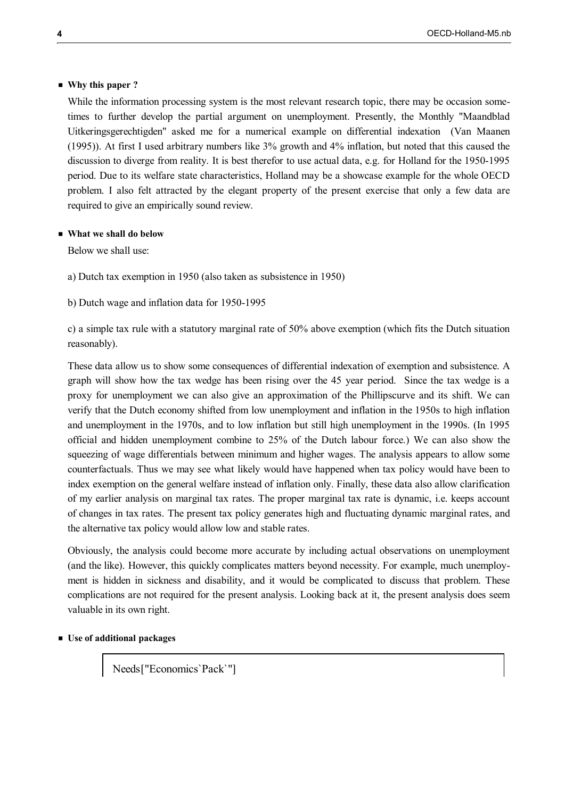## **Why this paper ?**

While the information processing system is the most relevant research topic, there may be occasion sometimes to further develop the partial argument on unemployment. Presently, the Monthly "Maandblad Uitkeringsgerechtigden" asked me for a numerical example on differential indexation (Van Maanen (1995)). At first I used arbitrary numbers like 3% growth and 4% inflation, but noted that this caused the discussion to diverge from reality. It is best therefor to use actual data, e.g. for Holland for the 1950-1995 period. Due to its welfare state characteristics, Holland may be a showcase example for the whole OECD problem. I also felt attracted by the elegant property of the present exercise that only a few data are required to give an empirically sound review.

#### **What we shall do below**

Below we shall use:

a) Dutch tax exemption in 1950 (also taken as subsistence in 1950)

b) Dutch wage and inflation data for 1950-1995

c) a simple tax rule with a statutory marginal rate of 50% above exemption (which fits the Dutch situation reasonably).

These data allow us to show some consequences of differential indexation of exemption and subsistence. A graph will show how the tax wedge has been rising over the 45 year period. Since the tax wedge is a proxy for unemployment we can also give an approximation of the Phillipscurve and its shift. We can verify that the Dutch economy shifted from low unemployment and inflation in the 1950s to high inflation and unemployment in the 1970s, and to low inflation but still high unemployment in the 1990s. (In 1995 official and hidden unemployment combine to 25% of the Dutch labour force.) We can also show the squeezing of wage differentials between minimum and higher wages. The analysis appears to allow some counterfactuals. Thus we may see what likely would have happened when tax policy would have been to index exemption on the general welfare instead of inflation only. Finally, these data also allow clarification of my earlier analysis on marginal tax rates. The proper marginal tax rate is dynamic, i.e. keeps account of changes in tax rates. The present tax policy generates high and fluctuating dynamic marginal rates, and the alternative tax policy would allow low and stable rates.

Obviously, the analysis could become more accurate by including actual observations on unemployment (and the like). However, this quickly complicates matters beyond necessity. For example, much unemployment is hidden in sickness and disability, and it would be complicated to discuss that problem. These complications are not required for the present analysis. Looking back at it, the present analysis does seem valuable in its own right.

#### **Use of additional packages**

Needs ["Economics`Pack`"]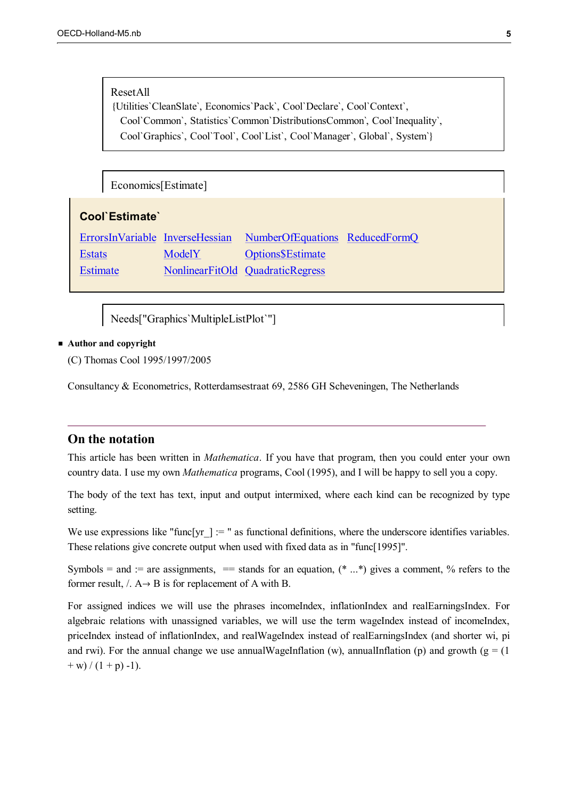#### ResetAll

Utilities`CleanSlate`, Economics`Pack`, Cool`Declare`, Cool`Context`, Cool`Common`, Statistics`Common`DistributionsCommon`, Cool`Inequality`, Cool`Graphics`, Cool`Tool`, Cool`List`, Cool`Manager`, Global`, System`

Economics[Estimate]

| Cool'Estimate' |        |                                                                |  |  |
|----------------|--------|----------------------------------------------------------------|--|--|
|                |        | ErrorsInVariable InverseHessian NumberOfEquations ReducedFormQ |  |  |
| <b>Estats</b>  | ModelY | <b>Options</b> SEstimate                                       |  |  |

Estimate NonlinearFitOld QuadraticRegress

Needs["Graphics`MultipleListPlot`"]

## **Author and copyright**

(C) Thomas Cool 1995/1997/2005

Consultancy & Econometrics, Rotterdamsestraat 69, 2586 GH Scheveningen, The Netherlands

## **On the notation**

This article has been written in *Mathematica*. If you have that program, then you could enter your own country data. I use my own *Mathematica* programs, Cool (1995), and I will be happy to sell you a copy.

The body of the text has text, input and output intermixed, where each kind can be recognized by type setting.

We use expressions like "func[yr  $] :=$  " as functional definitions, where the underscore identifies variables. These relations give concrete output when used with fixed data as in "func[1995]".

Symbols = and := are assignments, == stands for an equation,  $(* \dots *)$  gives a comment, % refers to the former result,  $\land$  A  $\rightarrow$  B is for replacement of A with B.

For assigned indices we will use the phrases incomeIndex, inflationIndex and realEarningsIndex. For algebraic relations with unassigned variables, we will use the term wageIndex instead of incomeIndex, priceIndex instead of inflationIndex, and realWageIndex instead of realEarningsIndex (and shorter wi, pi and rwi). For the annual change we use annualWageInflation (w), annualInflation (p) and growth ( $g = (1$ )  $+$  w) /  $(1 + p) -1$ .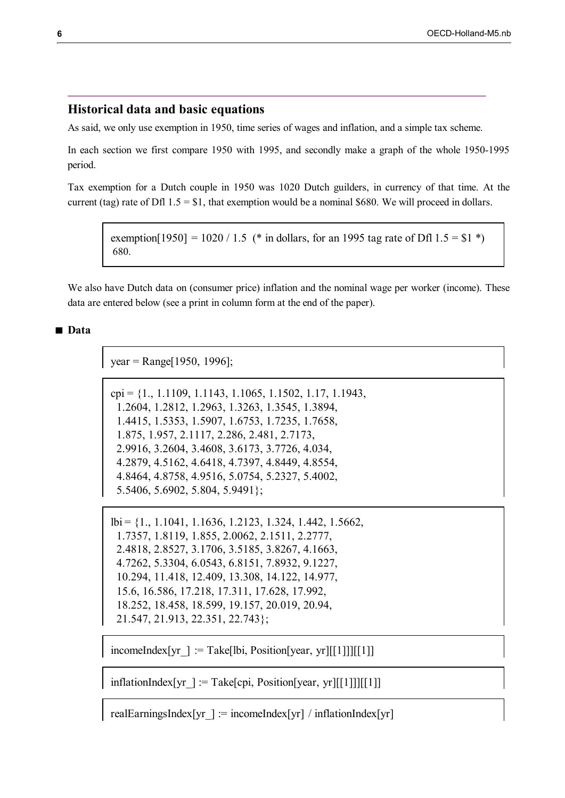## **Historical data and basic equations**

As said, we only use exemption in 1950, time series of wages and inflation, and a simple tax scheme.

In each section we first compare 1950 with 1995, and secondly make a graph of the whole 1950-1995 period.

Tax exemption for a Dutch couple in 1950 was 1020 Dutch guilders, in currency of that time. At the current (tag) rate of Dfl  $1.5 = $1$ , that exemption would be a nominal \$680. We will proceed in dollars.

exemption[1950] = 1020 / 1.5 (\* in dollars, for an 1995 tag rate of Dfl  $1.5 = $1$  \*) 680.

We also have Dutch data on (consumer price) inflation and the nominal wage per worker (income). These data are entered below (see a print in column form at the end of the paper).

## **Data**

 $year = Range[1950, 1996];$ 

```
cpi = \{1, 1.1109, 1.1143, 1.1065, 1.1502, 1.17, 1.1943, \ldots\} 1.2604, 1.2812, 1.2963, 1.3263, 1.3545, 1.3894,
  1.4415, 1.5353, 1.5907, 1.6753, 1.7235, 1.7658,
  1.875, 1.957, 2.1117, 2.286, 2.481, 2.7173,
  2.9916, 3.2604, 3.4608, 3.6173, 3.7726, 4.034,
  4.2879, 4.5162, 4.6418, 4.7397, 4.8449, 4.8554,
  4.8464, 4.8758, 4.9516, 5.0754, 5.2327, 5.4002,
  5.5406, 5.6902, 5.804, 5.9491};
```

```
lbi = {1., 1.1041, 1.1636, 1.2123, 1.324, 1.442, 1.5662,
  1.7357, 1.8119, 1.855, 2.0062, 2.1511, 2.2777,
  2.4818, 2.8527, 3.1706, 3.5185, 3.8267, 4.1663,
  4.7262, 5.3304, 6.0543, 6.8151, 7.8932, 9.1227,
  10.294, 11.418, 12.409, 13.308, 14.122, 14.977,
  15.6, 16.586, 17.218, 17.311, 17.628, 17.992,
  18.252, 18.458, 18.599, 19.157, 20.019, 20.94,
  21.547, 21.913, 22.351, 22.743};
```
incomeIndex[yr ] := Take[lbi, Position[year, yr][[1]]][[1]]

 $inflationIndex[yr] := Take[cpi, Position[year, yr][[1]]][[1]]$ 

realEarningsIndex[yr ] := incomeIndex[yr] / inflationIndex[yr]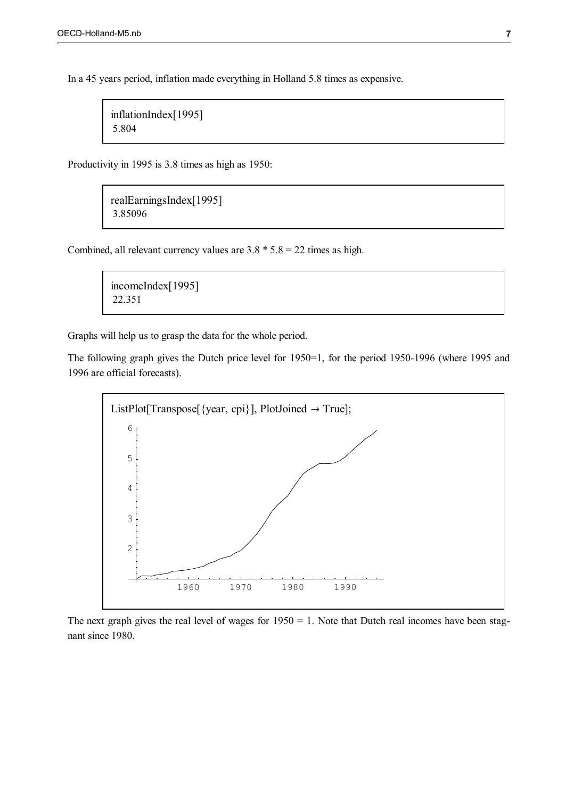In a 45 years period, inflation made everything in Holland 5.8 times as expensive.

```
inflationIndex[1995]
5.804
```
Productivity in 1995 is 3.8 times as high as 1950:

```
realEarningsIndex[1995]
3.85096
```
Combined, all relevant currency values are  $3.8 * 5.8 = 22$  times as high.

```
incomeIndex[1995]
22.351
```
Graphs will help us to grasp the data for the whole period.

The following graph gives the Dutch price level for 1950=1, for the period 1950-1996 (where 1995 and 1996 are official forecasts).



The next graph gives the real level of wages for  $1950 = 1$ . Note that Dutch real incomes have been stagnant since 1980.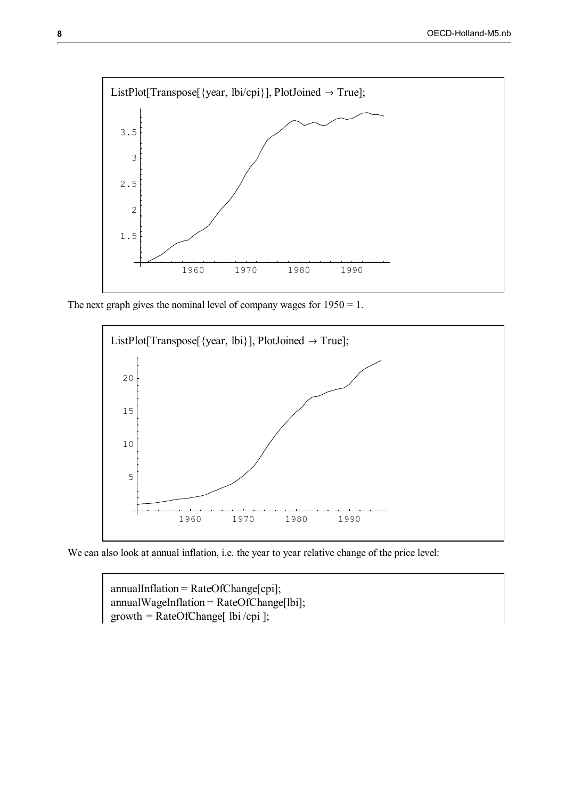

The next graph gives the nominal level of company wages for  $1950 = 1$ .



We can also look at annual inflation, i.e. the year to year relative change of the price level:

annualInflation = RateOfChange[cpi]; annualWageInflation = RateOfChange[lbi]; growth = RateOfChange[ lbi/cpi ];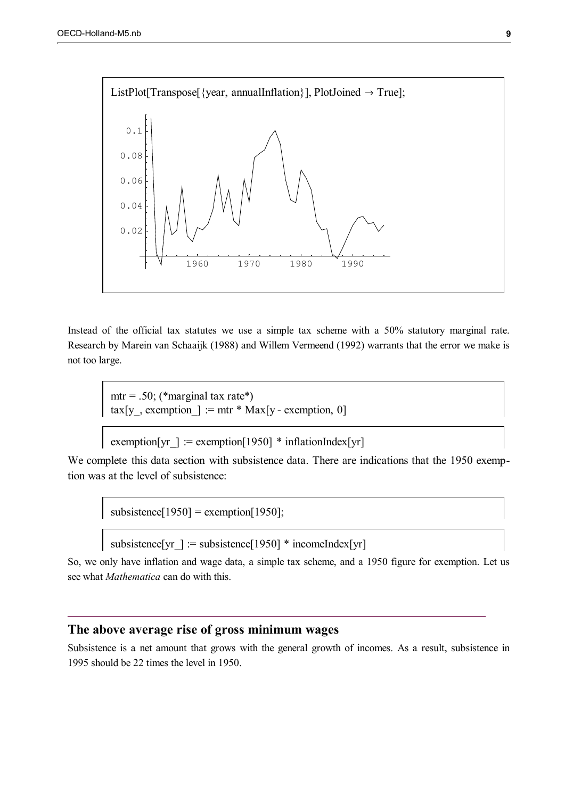

Instead of the official tax statutes we use a simple tax scheme with a 50% statutory marginal rate. Research by Marein van Schaaijk (1988) and Willem Vermeend (1992) warrants that the error we make is not too large.

 $mtr = .50$ ; (\*marginal tax rate\*) tax[y], exemption  $] := \text{mtr} * \text{Max}[y - \text{exemption}, 0]$ 

exemption[yr ] := exemption[1950] \* inflationIndex[yr]

We complete this data section with subsistence data. There are indications that the 1950 exemption was at the level of subsistence:

subsistence $[1950]$  = exemption $[1950]$ ;

subsistence[yr ] := subsistence[1950] \* incomeIndex[yr]

So, we only have inflation and wage data, a simple tax scheme, and a 1950 figure for exemption. Let us see what *Mathematica* can do with this.

## **The above average rise of gross minimum wages**

Subsistence is a net amount that grows with the general growth of incomes. As a result, subsistence in 1995 should be 22 times the level in 1950.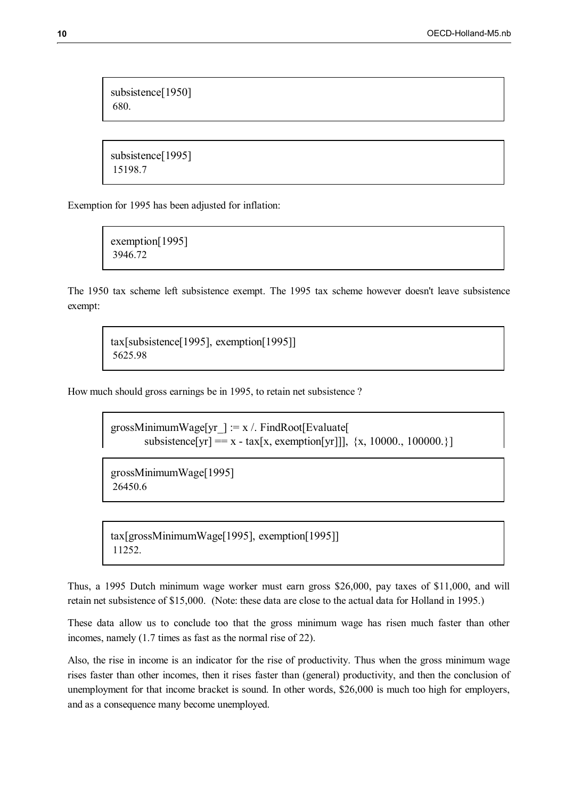subsistence[1950] 680.

subsistence[1995] 15198.7

Exemption for 1995 has been adjusted for inflation:

exemption[1995] 3946.72

The 1950 tax scheme left subsistence exempt. The 1995 tax scheme however doesn't leave subsistence exempt:

tax[subsistence[1995], exemption[1995]] 5625.98

How much should gross earnings be in 1995, to retain net subsistence ?

grossMinimumWage[yr  $] := x /$ . FindRoot[Evaluate] subsistence[yr] = x - tax[x, exemption[yr]]], {x, 10000., 100000.}]

grossMinimumWage[1995] 26450.6

tax[grossMinimumWage[1995], exemption[1995]] 11252.

Thus, a 1995 Dutch minimum wage worker must earn gross \$26,000, pay taxes of \$11,000, and will retain net subsistence of \$15,000. (Note: these data are close to the actual data for Holland in 1995.)

These data allow us to conclude too that the gross minimum wage has risen much faster than other incomes, namely (1.7 times as fast as the normal rise of 22).

Also, the rise in income is an indicator for the rise of productivity. Thus when the gross minimum wage rises faster than other incomes, then it rises faster than (general) productivity, and then the conclusion of unemployment for that income bracket is sound. In other words, \$26,000 is much too high for employers, and as a consequence many become unemployed.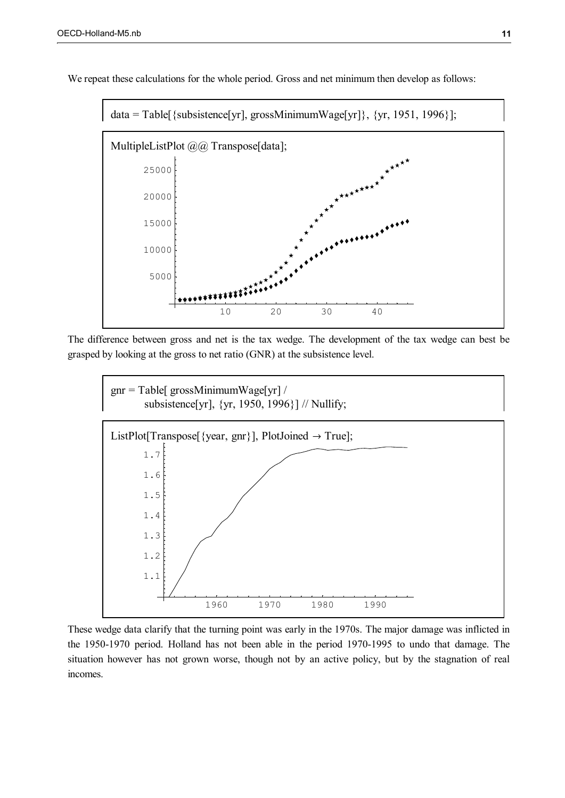

We repeat these calculations for the whole period. Gross and net minimum then develop as follows:

The difference between gross and net is the tax wedge. The development of the tax wedge can best be grasped by looking at the gross to net ratio (GNR) at the subsistence level.



These wedge data clarify that the turning point was early in the 1970s. The major damage was inflicted in the 1950-1970 period. Holland has not been able in the period 1970-1995 to undo that damage. The situation however has not grown worse, though not by an active policy, but by the stagnation of real incomes.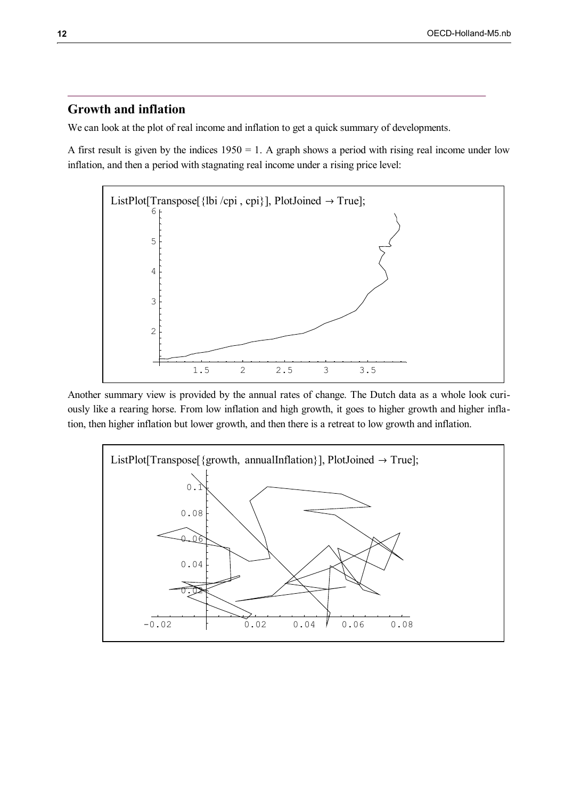## **Growth and inflation**

We can look at the plot of real income and inflation to get a quick summary of developments.

A first result is given by the indices  $1950 = 1$ . A graph shows a period with rising real income under low inflation, and then a period with stagnating real income under a rising price level:



Another summary view is provided by the annual rates of change. The Dutch data as a whole look curiously like a rearing horse. From low inflation and high growth, it goes to higher growth and higher inflation, then higher inflation but lower growth, and then there is a retreat to low growth and inflation.

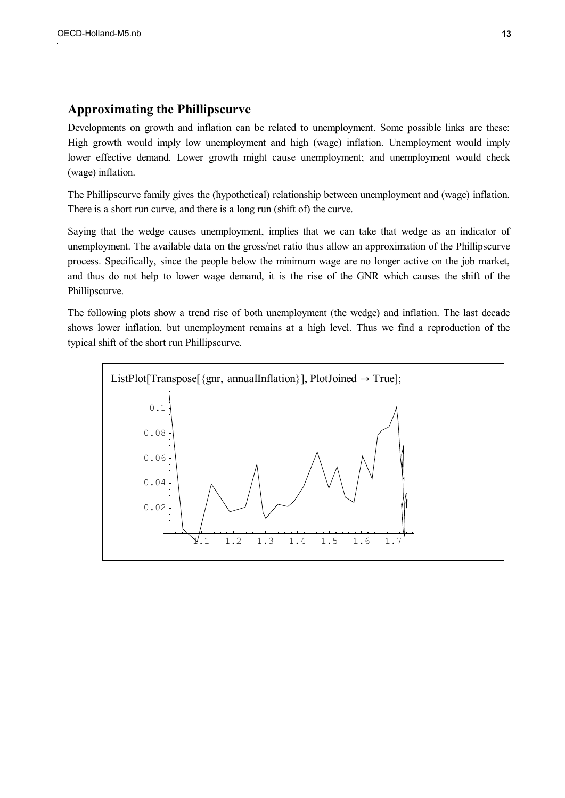## **Approximating the Phillipscurve**

Developments on growth and inflation can be related to unemployment. Some possible links are these: High growth would imply low unemployment and high (wage) inflation. Unemployment would imply lower effective demand. Lower growth might cause unemployment; and unemployment would check (wage) inflation.

The Phillipscurve family gives the (hypothetical) relationship between unemployment and (wage) inflation. There is a short run curve, and there is a long run (shift of) the curve.

Saying that the wedge causes unemployment, implies that we can take that wedge as an indicator of unemployment. The available data on the gross/net ratio thus allow an approximation of the Phillipscurve process. Specifically, since the people below the minimum wage are no longer active on the job market, and thus do not help to lower wage demand, it is the rise of the GNR which causes the shift of the Phillipscurve.

The following plots show a trend rise of both unemployment (the wedge) and inflation. The last decade shows lower inflation, but unemployment remains at a high level. Thus we find a reproduction of the typical shift of the short run Phillipscurve.

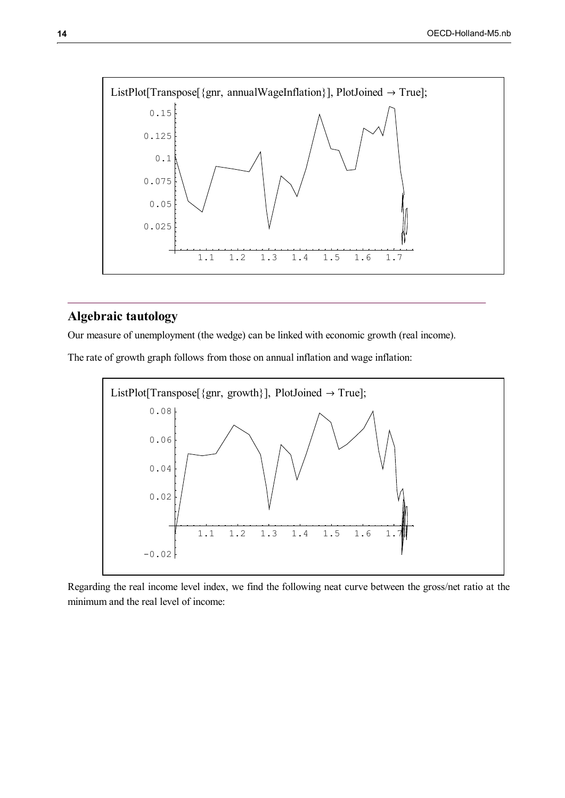

## **Algebraic tautology**

Our measure of unemployment (the wedge) can be linked with economic growth (real income).

The rate of growth graph follows from those on annual inflation and wage inflation:



Regarding the real income level index, we find the following neat curve between the gross/net ratio at the minimum and the real level of income: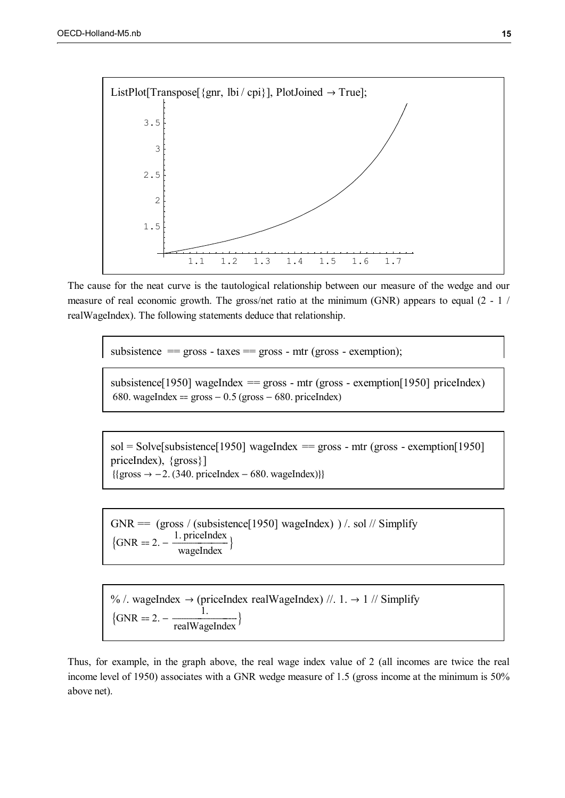

The cause for the neat curve is the tautological relationship between our measure of the wedge and our measure of real economic growth. The gross/net ratio at the minimum (GNR) appears to equal (2 - 1 / realWageIndex). The following statements deduce that relationship.

subsistence  $=$  gross - taxes  $=$  gross - mtr (gross - exemption);

subsistence[1950] wageIndex  $=$  gross - mtr (gross - exemption[1950] priceIndex) 680. wageIndex =  $\text{gross} - 0.5$  (gross  $-680$ . priceIndex)

 $sol = Solve[subsistency 1950]$  wageIndex = gross - mtr (gross - exemption[1950] priceIndex), {gross}]  ${qross \rightarrow -2. (340. priceIndex - 680. wageIndex)}$ 

 $GNR = (gross / (subsistence[1950] wageIndex)) / . sol // Simplify$  $\text{GNR} = 2. - \frac{1. \text{ priceIndex}}{\text{waoelndex}}$  $\frac{1}{\text{wagelfndex}}$ 

% /. wageIndex  $\rightarrow$  (priceIndex realWageIndex) //. 1.  $\rightarrow$  1 // Simplify  $\left\{\text{GNR} = 2. - \frac{1}{\text{realWageIndex}}\right\}$ realWageIndex Ì

Thus, for example, in the graph above, the real wage index value of 2 (all incomes are twice the real income level of 1950) associates with a GNR wedge measure of 1.5 (gross income at the minimum is 50% above net).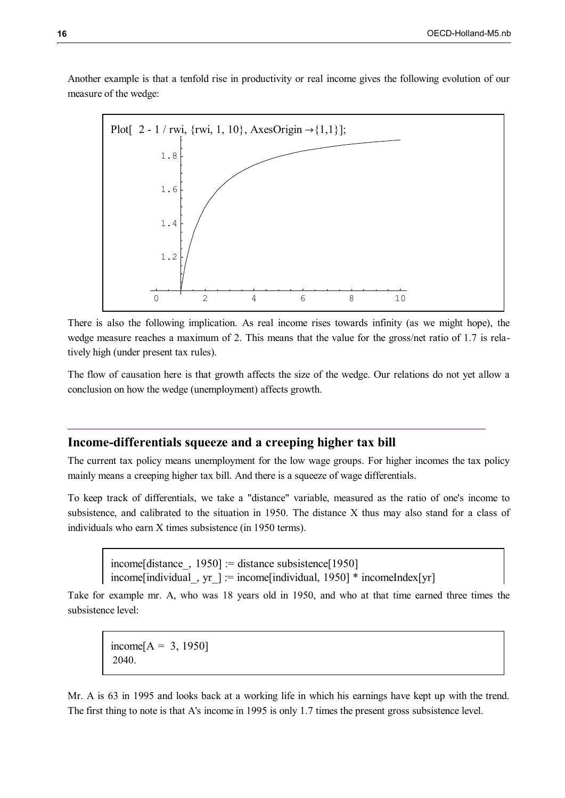Another example is that a tenfold rise in productivity or real income gives the following evolution of our measure of the wedge:



There is also the following implication. As real income rises towards infinity (as we might hope), the wedge measure reaches a maximum of 2. This means that the value for the gross/net ratio of 1.7 is relatively high (under present tax rules).

The flow of causation here is that growth affects the size of the wedge. Our relations do not yet allow a conclusion on how the wedge (unemployment) affects growth.

## **Income-differentials squeeze and a creeping higher tax bill**

The current tax policy means unemployment for the low wage groups. For higher incomes the tax policy mainly means a creeping higher tax bill. And there is a squeeze of wage differentials.

To keep track of differentials, we take a "distance" variable, measured as the ratio of one's income to subsistence, and calibrated to the situation in 1950. The distance X thus may also stand for a class of individuals who earn X times subsistence (in 1950 terms).

income[distance], 1950] := distance subsistence[1950] income[individual, yr  $] :=$  income[individual, 1950] \* incomeIndex[yr]

Take for example mr. A, who was 18 years old in 1950, and who at that time earned three times the subsistence level:

income[ $A = 3, 1950$ ] 2040.

Mr. A is 63 in 1995 and looks back at a working life in which his earnings have kept up with the trend. The first thing to note is that A's income in 1995 is only 1.7 times the present gross subsistence level.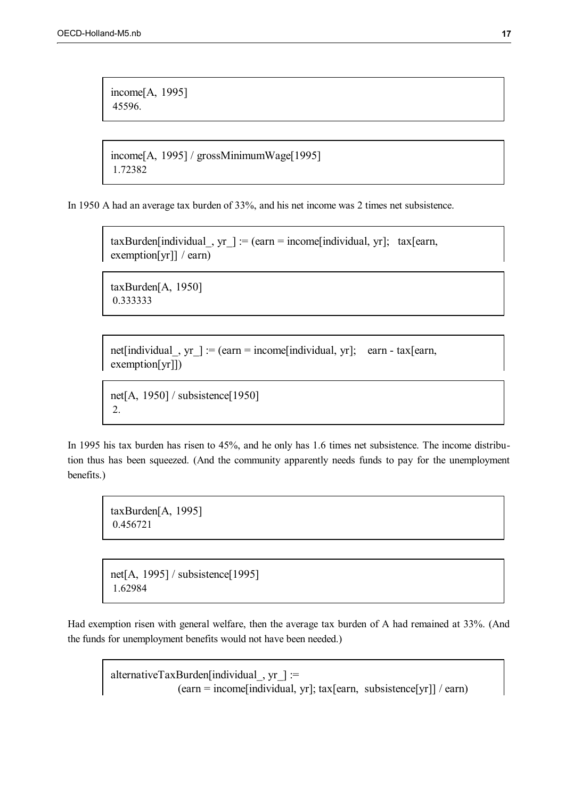income[A, 1995] 45596.

income[A, 1995] / grossMinimumWage[1995] 1.72382

In 1950 A had an average tax burden of 33%, and his net income was 2 times net subsistence.

 $taxBurden[individual_, yr] := (earn = income[individual, yr]; tax[earn,$ exemption[yr]] / earn)

taxBurden[A, 1950] 0.333333

net[individual, yr] := (earn = income[individual, yr]; earn - tax[earn, exemption[yr]])

net[A, 1950] / subsistence[1950] 2.

In 1995 his tax burden has risen to 45%, and he only has 1.6 times net subsistence. The income distribution thus has been squeezed. (And the community apparently needs funds to pay for the unemployment benefits.)

taxBurden[A, 1995] 0.456721

net[A, 1995] / subsistence[1995] 1.62984

Had exemption risen with general welfare, then the average tax burden of A had remained at 33%. (And the funds for unemployment benefits would not have been needed.)

alternativeTaxBurden[individual\_, yr\_] := (earn = income[individual, yr]; tax[earn, subsistence[yr]] / earn)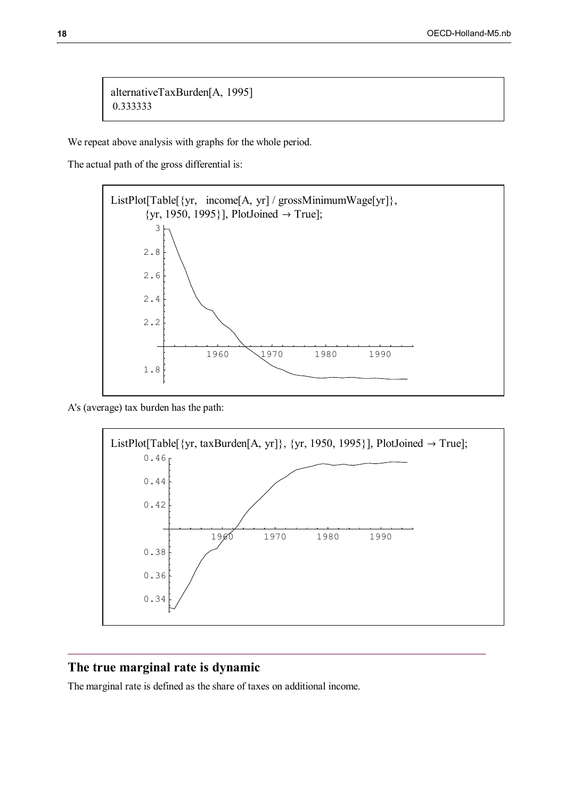alternativeTaxBurden[A, 1995] 0.333333

We repeat above analysis with graphs for the whole period.

The actual path of the gross differential is:



A's (average) tax burden has the path:



## **The true marginal rate is dynamic**

The marginal rate is defined as the share of taxes on additional income.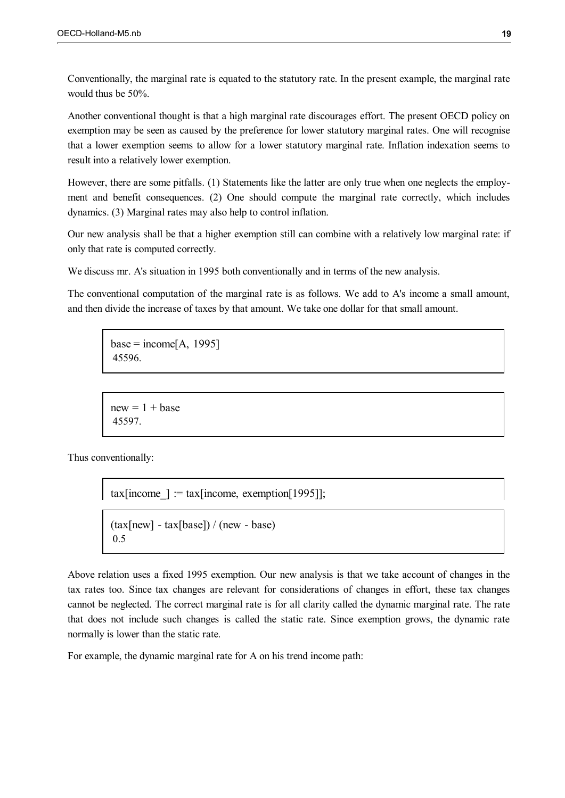Conventionally, the marginal rate is equated to the statutory rate. In the present example, the marginal rate would thus be 50%.

Another conventional thought is that a high marginal rate discourages effort. The present OECD policy on exemption may be seen as caused by the preference for lower statutory marginal rates. One will recognise that a lower exemption seems to allow for a lower statutory marginal rate. Inflation indexation seems to result into a relatively lower exemption.

However, there are some pitfalls. (1) Statements like the latter are only true when one neglects the employment and benefit consequences. (2) One should compute the marginal rate correctly, which includes dynamics. (3) Marginal rates may also help to control inflation.

Our new analysis shall be that a higher exemption still can combine with a relatively low marginal rate: if only that rate is computed correctly.

We discuss mr. A's situation in 1995 both conventionally and in terms of the new analysis.

The conventional computation of the marginal rate is as follows. We add to A's income a small amount, and then divide the increase of taxes by that amount. We take one dollar for that small amount.

```
base = income[A, 1995]45596.
```
 $new = 1 + base$ 45597.

Thus conventionally:

tax[income  $]$  := tax[income, exemption[1995]];

```
(tax[new] - tax[base]) / (new - base)0.5
```
Above relation uses a fixed 1995 exemption. Our new analysis is that we take account of changes in the tax rates too. Since tax changes are relevant for considerations of changes in effort, these tax changes cannot be neglected. The correct marginal rate is for all clarity called the dynamic marginal rate. The rate that does not include such changes is called the static rate. Since exemption grows, the dynamic rate normally is lower than the static rate.

For example, the dynamic marginal rate for A on his trend income path: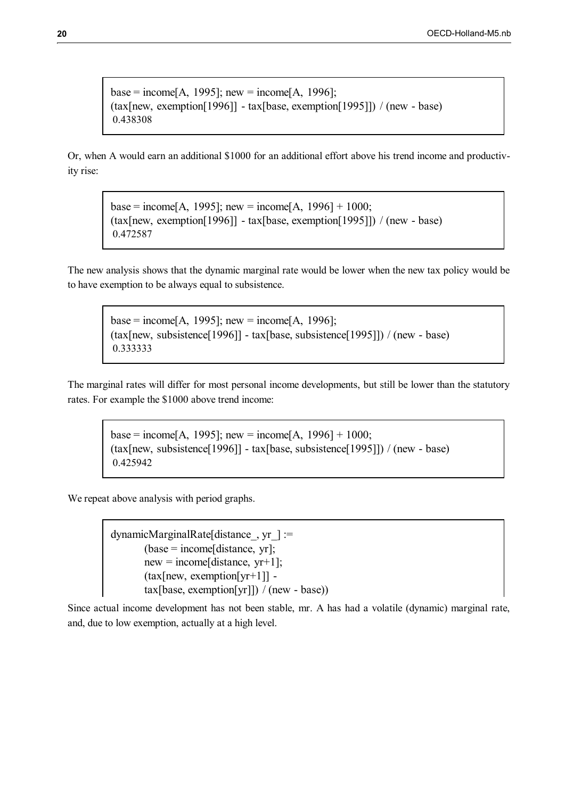base = income[A, 1995]; new = income[A, 1996]; (tax[new, exemption[1996]] - tax[base, exemption[1995]]) / (new - base) 0.438308

Or, when A would earn an additional \$1000 for an additional effort above his trend income and productivity rise:

base = income[A, 1995]; new = income[A, 1996] + 1000; (tax[new, exemption[1996]] - tax[base, exemption[1995]]) / (new - base) 0.472587

The new analysis shows that the dynamic marginal rate would be lower when the new tax policy would be to have exemption to be always equal to subsistence.

base = income[A, 1995]; new = income[A, 1996]; (tax[new, subsistence[1996]] - tax[base, subsistence[1995]]) / (new - base) 0.333333

The marginal rates will differ for most personal income developments, but still be lower than the statutory rates. For example the \$1000 above trend income:

base = income[A, 1995]; new = income[A, 1996] + 1000; (tax[new, subsistence[1996]] - tax[base, subsistence[1995]]) / (new - base) 0.425942

We repeat above analysis with period graphs.

dynamicMarginalRate[distance\_, yr\_] :=  $(base = income[distance, yr];$  $new = income[distance, yr+1];$  $(tax[new,$  exemption $[yr+1]]$   $tax[base,$  exemption[yr]]) / (new - base))

Since actual income development has not been stable, mr. A has had a volatile (dynamic) marginal rate, and, due to low exemption, actually at a high level.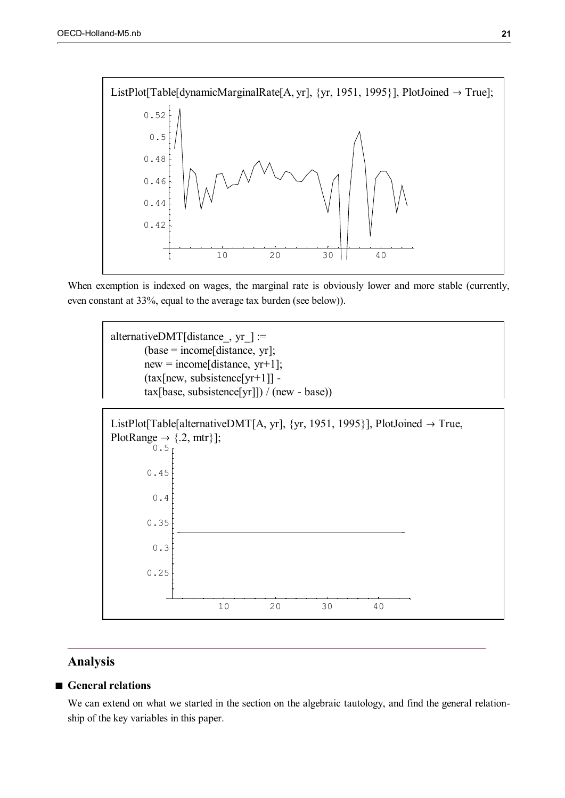

When exemption is indexed on wages, the marginal rate is obviously lower and more stable (currently, even constant at 33%, equal to the average tax burden (see below)).

alternativeDMT[distance, yr  $] :=$  $(base = income[distance, yr];$  $new = income[distance, yr+1];$  $(tax[new, subsistence[*yr*+1]]$  tax[base, subsistence[yr]]) / (new - base))



## **Analysis**

## **General relations**

We can extend on what we started in the section on the algebraic tautology, and find the general relationship of the key variables in this paper.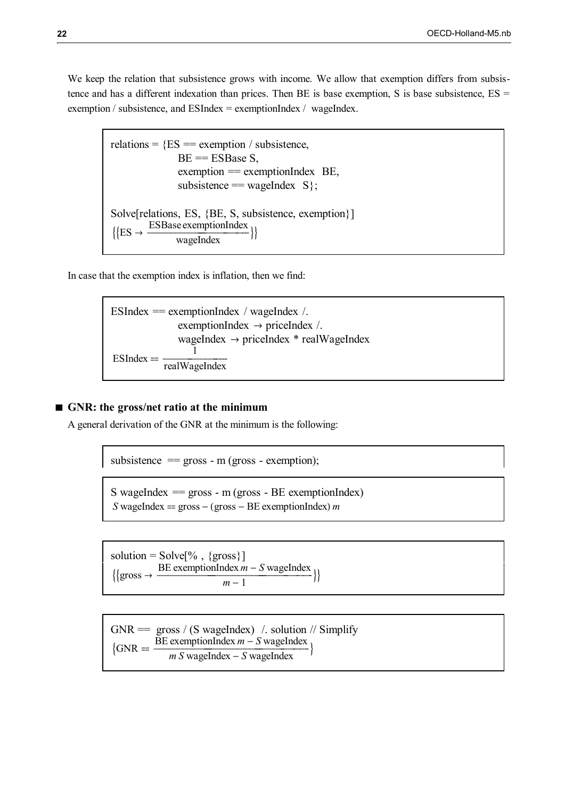We keep the relation that subsistence grows with income. We allow that exemption differs from subsistence and has a different indexation than prices. Then BE is base exemption, S is base subsistence,  $ES =$ exemption / subsistence, and  $ESIndex =$  exemptionIndex / wageIndex.

```
relations = {ES} = exemption / subsistence,
               BE = ESBase S,
               exemption = exemplionIndex BE,
               subsistence == wageIndex S;
Solve[relations, ES, {BE, S, subsistence, exemption}]
\{[ES \rightarrow \frac{ESBase exemptionIndex<br>wageIndex ]\}wageIndex
```
In case that the exemption index is inflation, then we find:

ESIndex == exemplionIndex / wageIndex /.

\nexemptionIndex → priceIndex /.

\nwagelndex → priceIndex \* realWagelndex

\nESIndex == 
$$
\frac{1}{realWagelndex}
$$

#### **GNR: the gross/net ratio at the minimum**

A general derivation of the GNR at the minimum is the following:

subsistence  $=$  gross - m (gross - exemption);

S wageIndex  $=$  gross - m (gross - BE exemptionIndex) *S* wageIndex = gross  $-$  (gross  $-$  BE exemptionIndex) *m* 

solution =  $Solve[% , {gross}]$  $\{\mathrm{gross} \rightarrow -\}$ BE exemptionIndex  $m - S$  wageIndex<br> $m - 1$ }  $m-1$ 

 $GNR = \text{gross} / (S \text{ wageIndex})$  / solution // Simplify  $\text{GNR} =$   $\frac{1}{2}$  $\frac{\text{BE~exemptionIndex~}m - S \text{wageIndex}}{m S \text{wageIndex} - S \text{wageIndex}}$  $\overline{MS}$  wageIndex  $\overline{-S}$  wageIndex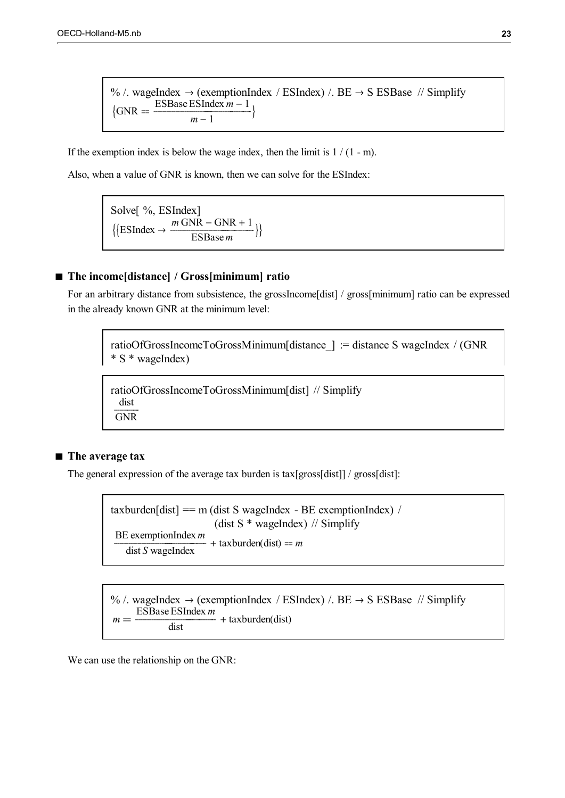% /. wageIndex  $\rightarrow$  (exemptionIndex / ESIndex) /. BE  $\rightarrow$  S ESBase // Simplify  $\{GNR =$ ESBase ESIndex  $m-1$  $\frac{m-1}{m}$ Ì

If the exemption index is below the wage index, then the limit is  $1/(1 - m)$ .

Also, when a value of GNR is known, then we can solve for the ESIndex:

Solve[ %, ESIndex]  $\{ {\rm [ESIndex} \rightarrow \frac{m\text{ GNR} - \text{GNR} + 1}{\text{ESBase } m} \}$ ESBase *m*

## **The income[distance] / Gross[minimum] ratio**

For an arbitrary distance from subsistence, the grossIncome[dist] / gross[minimum] ratio can be expressed in the already known GNR at the minimum level:

ratioOfGrossIncomeToGrossMinimum[distance\_] := distance S wageIndex / (GNR \* S \* wageIndex)

ratioOfGrossIncomeToGrossMinimum[dist] // Simplify dist GNR

## ■ The average tax

The general expression of the average tax burden is tax[gross[dist]] / gross[dist]:

taxburden[dist]  $=$  m (dist S wageIndex - BE exemptionIndex) / (dist S \* wageIndex) // Simplify BE exemptionIndex *m*  $\frac{11}{10}$ dist *S* wageIndex  $+$  taxburden(dist) =  $m$ 

% /. wageIndex  $\rightarrow$  (exemptionIndex / ESIndex) /. BE  $\rightarrow$  S ESBase // Simplify *m* ESBase ESIndex *m*  $\frac{1}{1}$ dist  $+$  taxburden(dist)

We can use the relationship on the GNR: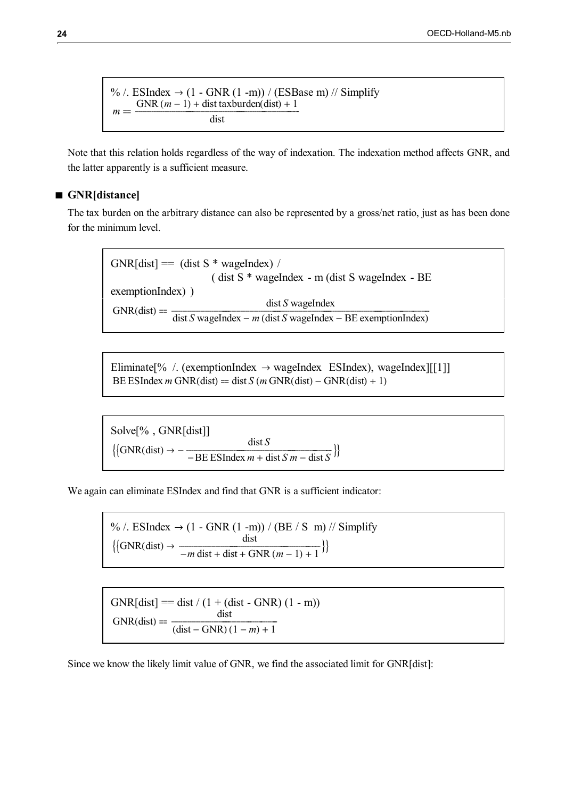% /. ESIndex  $\rightarrow$  (1 - GNR (1 -m)) / (ESBase m) // Simplify  $m ==$  $GNR(m-1) + dist$  taxburden(dist) + 1 dist

Note that this relation holds regardless of the way of indexation. The indexation method affects GNR, and the latter apparently is a sufficient measure.

## **GNR[distance]**

The tax burden on the arbitrary distance can also be represented by a gross/net ratio, just as has been done for the minimum level.

 $GNR[dist] = (dist S * wageIndex) /$ ( dist S \* wageIndex - m (dist S wageIndex - BE exemptionIndex) )  $GNR(dist) = \frac{distr}{dist S \cdot wageIndex - m (dist S \cdot wageIndex - BE \cdot exemplinoIndex)}$ dist *S* wageIndex

Eliminate<sup>[%</sup> / (exemptionIndex  $\rightarrow$  wageIndex ESIndex), wageIndex $\vert$ [[1]] BE ESIndex *m* GNR(dist) = dist *S* (*m* GNR(dist) – GNR(dist) + 1)

Solve[% , GNR[dist]]  $\{\text{GNR(dist)} \rightarrow -\frac{\text{dist } S}{-\text{RE ESIndex } m + \text{dist } S m - \text{dist } S}\}$  $-BE$  ESIndex *m* + dist *S m* – dist *S*<sup>}</sup>

We again can eliminate ESIndex and find that GNR is a sufficient indicator:

% /. ESIndex  $\rightarrow$  (1 - GNR (1 -m)) / (BE / S m) // Simplify  $\{\text{GNR(dist)} \rightarrow \frac{\text{dist}}{-m \text{ dist} + \text{dist} + \text{GNR} (m-1) + 1}$  $-m \text{ dist} + \text{ dist} + \text{ GNR } (m-1) + 1$ 

 $GNR[dist] = \text{dist} / (1 + (\text{dist} - GNR) (1 - m))$  $GNR(dist) =$ dist  $\frac{d\theta}{d\text{dist} - \text{GNR} (1 - m) + 1}$ 

Since we know the likely limit value of GNR, we find the associated limit for GNR[dist]: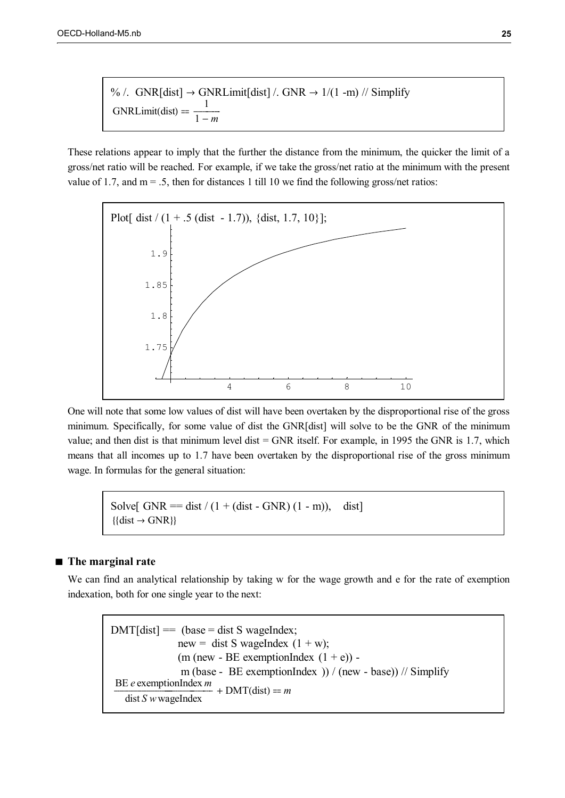% /. GNR[dist] → GNRLimit[dist] /. GNR → 1/(1 - m) // Simplify  
GNRLimit(dist) = 
$$
\frac{1}{1 - m}
$$

These relations appear to imply that the further the distance from the minimum, the quicker the limit of a gross/net ratio will be reached. For example, if we take the gross/net ratio at the minimum with the present value of 1.7, and  $m = .5$ , then for distances 1 till 10 we find the following gross/net ratios:



One will note that some low values of dist will have been overtaken by the disproportional rise of the gross minimum. Specifically, for some value of dist the GNR[dist] will solve to be the GNR of the minimum value; and then dist is that minimum level dist  $=$  GNR itself. For example, in 1995 the GNR is 1.7, which means that all incomes up to 1.7 have been overtaken by the disproportional rise of the gross minimum wage. In formulas for the general situation:

Solve[ GNR =  $dist / (1 + (dist - GNR) (1 - m))$ , dist]  $\{ \text{dist} \rightarrow \text{GNR} \}$ 

## ■ The marginal rate

We can find an analytical relationship by taking w for the wage growth and e for the rate of exemption indexation, both for one single year to the next:

 $DMT$ [dist] = (base = dist S wageIndex; new = dist S wageIndex  $(1 + w)$ ; (m (new - BE exemptionIndex  $(1 + e)$ ) m (base - BE exemptionIndex )) / (new - base)) // Simplify BE *e* exemptionIndex *m* dist *S w*wageIndex  $- + DMT(\text{dist}) = m$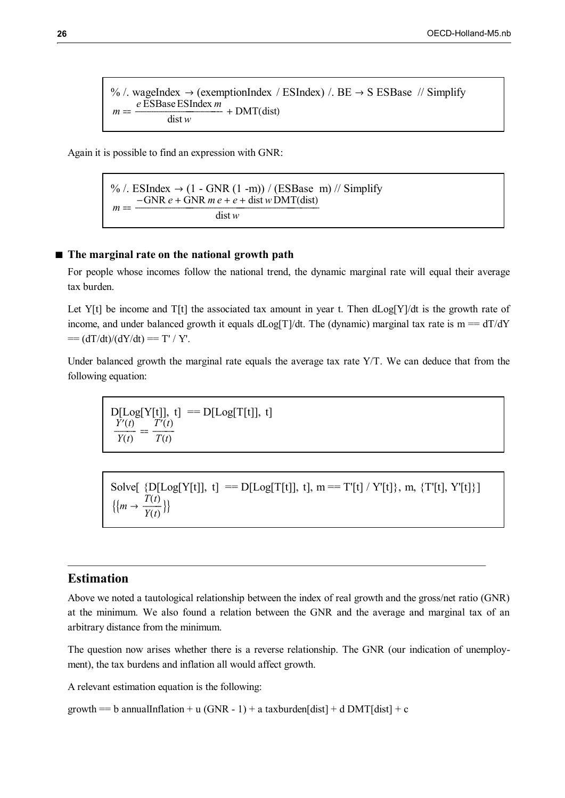% /. wageIndex  $\rightarrow$  (exemptionIndex / ESIndex) /. BE  $\rightarrow$  S ESBase // Simplify *m e* ESBaseESIndex *m* dist *w*  $+$  DMT(dist)

Again it is possible to find an expression with GNR:

% /. ESIndex  $\rightarrow$  (1 - GNR (1 -m)) / (ESBase m) // Simplify  $m = \frac{-\text{GNR } e + \text{GNR } m e + e + \text{dist } w \text{DMT}(\text{dist})}{\text{Tr} w \cdot \text{Gm} \cdot \text{Gm} \cdot \text{Gm} \cdot \text{Gm} \cdot \text{Gm} \cdot \text{Gm} \cdot \text{Gm} \cdot \text{Gm} \cdot \text{Gm} \cdot \text{Gm} \cdot \text{Gm} \cdot \text{Gm} \cdot \text{Gm} \cdot \text{Gm} \cdot \text{Gm} \cdot \text{Gm} \cdot \text{Gm} \cdot \text{Gm} \cdot \text{Gm} \cdot \text{Gm} \cdot \text{Gm} \cdot \text$ dist *w*

## **The marginal rate on the national growth path**

For people whose incomes follow the national trend, the dynamic marginal rate will equal their average tax burden.

Let Y[t] be income and T[t] the associated tax amount in year t. Then  $dLog[Y]/dt$  is the growth rate of income, and under balanced growth it equals dLog[T]/dt. The (dynamic) marginal tax rate is  $m = dT/dY$  $== (dT/dt)/(dY/dt) == T'/Y'.$ 

Under balanced growth the marginal rate equals the average tax rate Y/T. We can deduce that from the following equation:

$$
\begin{array}{l}\nD[\text{Log}[Y[t]], t] \quad == \quad D[\text{Log}[T[t]], t] \\
\frac{Y'(t)}{Y(t)} \quad = \quad \frac{T'(t)}{T(t)}\n\end{array}
$$

Solve[  $\{D[Log[Y[t]], t] == D[Log[T[t]], t], m == T'[t] / Y'[t]\}, m, \{T'[t], Y'[t]\}]$  $\{m \rightarrow \frac{T(t)}{Y(t)}\}$  $\overline{Y(t)}$ <sup>[]</sup>

## **Estimation**

Above we noted a tautological relationship between the index of real growth and the gross/net ratio (GNR) at the minimum. We also found a relation between the GNR and the average and marginal tax of an arbitrary distance from the minimum.

The question now arises whether there is a reverse relationship. The GNR (our indication of unemployment), the tax burdens and inflation all would affect growth.

A relevant estimation equation is the following:

growth == b annualInflation + u (GNR - 1) + a taxburden[dist] + d DMT[dist] + c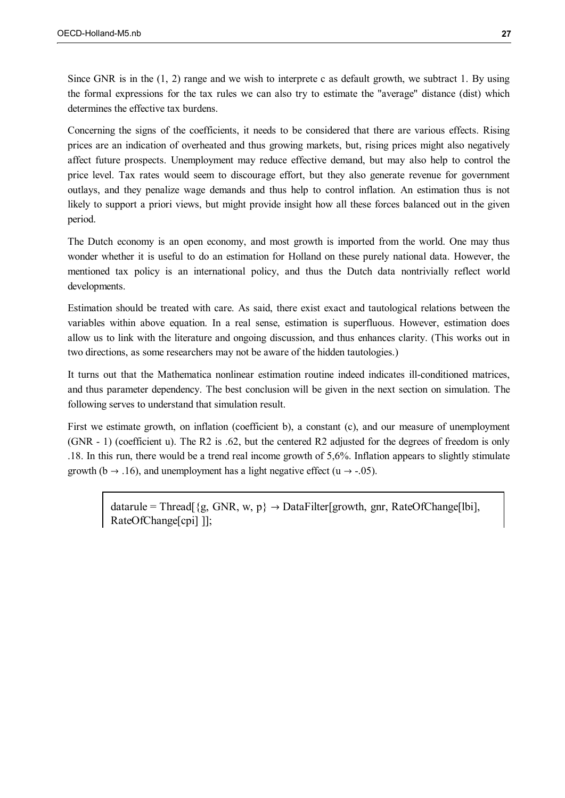Since GNR is in the (1, 2) range and we wish to interprete c as default growth, we subtract 1. By using the formal expressions for the tax rules we can also try to estimate the "average" distance (dist) which determines the effective tax burdens.

Concerning the signs of the coefficients, it needs to be considered that there are various effects. Rising prices are an indication of overheated and thus growing markets, but, rising prices might also negatively affect future prospects. Unemployment may reduce effective demand, but may also help to control the price level. Tax rates would seem to discourage effort, but they also generate revenue for government outlays, and they penalize wage demands and thus help to control inflation. An estimation thus is not likely to support a priori views, but might provide insight how all these forces balanced out in the given period.

The Dutch economy is an open economy, and most growth is imported from the world. One may thus wonder whether it is useful to do an estimation for Holland on these purely national data. However, the mentioned tax policy is an international policy, and thus the Dutch data nontrivially reflect world developments.

Estimation should be treated with care. As said, there exist exact and tautological relations between the variables within above equation. In a real sense, estimation is superfluous. However, estimation does allow us to link with the literature and ongoing discussion, and thus enhances clarity. (This works out in two directions, as some researchers may not be aware of the hidden tautologies.)

It turns out that the Mathematica nonlinear estimation routine indeed indicates ill-conditioned matrices, and thus parameter dependency. The best conclusion will be given in the next section on simulation. The following serves to understand that simulation result.

First we estimate growth, on inflation (coefficient b), a constant (c), and our measure of unemployment (GNR - 1) (coefficient u). The R2 is .62, but the centered R2 adjusted for the degrees of freedom is only .18. In this run, there would be a trend real income growth of 5,6%. Inflation appears to slightly stimulate growth (b  $\rightarrow$  .16), and unemployment has a light negative effect (u  $\rightarrow$  -.05).

 $datarule = Thread[\{g, GNR, w, p\} \rightarrow DataFilter[growth, gnr, RateOfChange[ibi],$ RateOfChange[cpi] ]];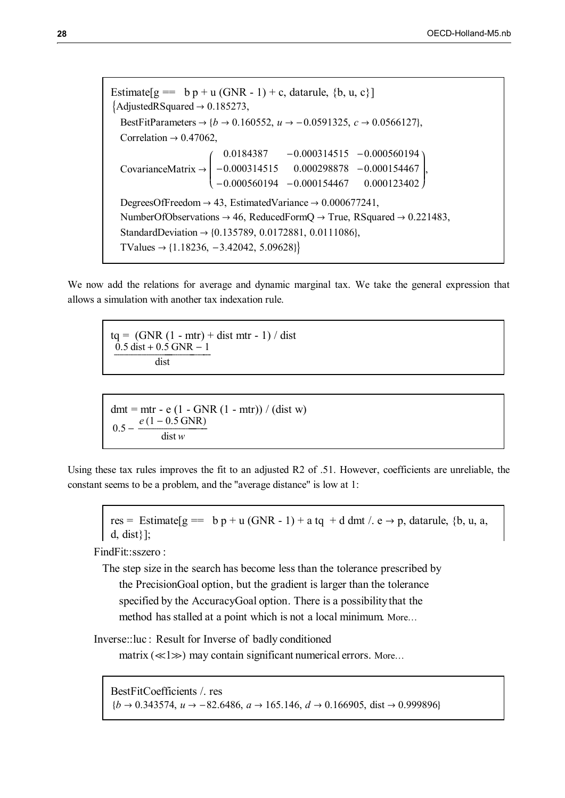```
Estimate[g = b p + u (GNR - 1) + c, datarule, {b, u, c}]
\text{AdjustedRSquared} \rightarrow 0.185273,BestFitParameters \rightarrow {b \rightarrow 0.160552, u \rightarrow -0.0591325, c \rightarrow 0.0566127},
  Correlation \rightarrow 0.47062,
   CovarianceMatrix 
                             I
                             \overline{\phantom{a}}\overline{\phantom{a}}0.0184387 - 0.000314515 - 0.000560194-0.000314515 0.000298878 -0.000154467-0.000560194 -0.000154467 0.000123402
                                                                                             \overline{\phantom{a}}\overline{\phantom{a}}

                                                                                             \bigg\},
  DegreesOfFreedom \rightarrow 43, EstimatedVariance \rightarrow 0.000677241,
  NumberOfObservations \rightarrow 46, ReducedFormQ \rightarrow True, RSquared \rightarrow 0.221483,
  StandardDeviation \rightarrow {0.135789, 0.0172881, 0.0111086},
  TValues \rightarrow {1.18236, -3.42042, 5.09628}}
```
We now add the relations for average and dynamic marginal tax. We take the general expression that allows a simulation with another tax indexation rule.

 $tq = (GNR (1 - mtr) + dist mtr - 1) / dist$  $\frac{0.5 \text{ dist} + 0.5 \text{ GNR} - 1}{\text{H}}$ dist

 $dmt = mtr - e (1 - GNR (1 - mtr)) / (dist w)$  $0.5$  $e(1 - 0.5 \text{ GNR})$ dist *w*

Using these tax rules improves the fit to an adjusted R2 of .51. However, coefficients are unreliable, the constant seems to be a problem, and the "average distance" is low at 1:

res = Estimate $[g = b p + u (GNR - 1) + a tq + d dmt / c \rightarrow p$ , datarule, {b, u, a, d, dist}];

FindFit::sszero :

The step size in the search has become less than the tolerance prescribed by the PrecisionGoal option, but the gradient is larger than the tolerance specified by the AccuracyGoal option. There is a possibility that the method has stalled at a point which is not a local minimum. More…

Inverse::luc : Result for Inverse of badly conditioned

matrix  $(\ll 1 \gg)$  may contain significant numerical errors. More...

BestFitCoefficients /. res  $\{b \rightarrow 0.343574, u \rightarrow -82.6486, a \rightarrow 165.146, d \rightarrow 0.166905, dist \rightarrow 0.999896\}$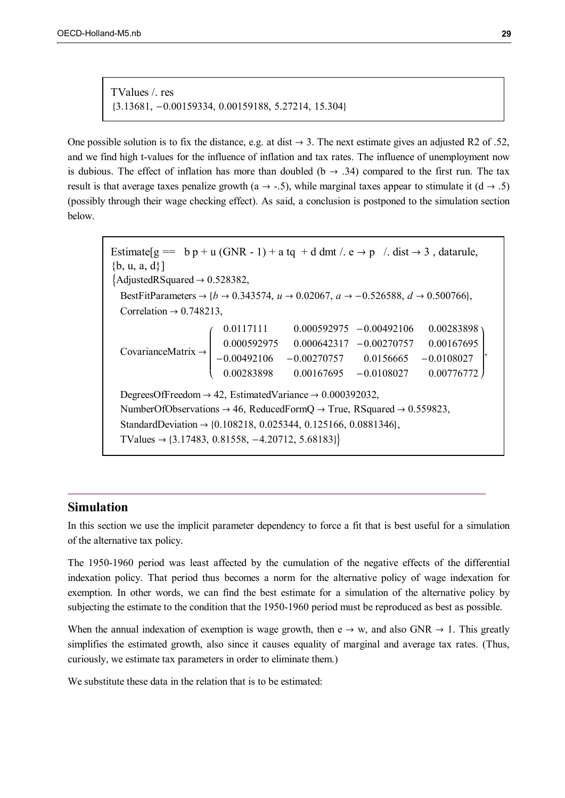TValues /. res 3.13681, 0.00159334, 0.00159188, 5.27214, 15.304

One possible solution is to fix the distance, e.g. at dist  $\rightarrow$  3. The next estimate gives an adjusted R2 of .52, and we find high t-values for the influence of inflation and tax rates. The influence of unemployment now is dubious. The effect of inflation has more than doubled ( $b \rightarrow .34$ ) compared to the first run. The tax result is that average taxes penalize growth (a  $\rightarrow$  -.5), while marginal taxes appear to stimulate it (d  $\rightarrow$  .5) (possibly through their wage checking effect). As said, a conclusion is postponed to the simulation section below.

Estimate  $[g = b p + u (GNR - 1) + a tq + d dmt / . e \rightarrow p / . dist \rightarrow 3$ , datarule,  ${b, u, a, d}$  $\{AdjustedRSquared \rightarrow 0.528382,$ BestFitParameters  $\rightarrow$  { $b \rightarrow 0.343574$ ,  $u \rightarrow 0.02067$ ,  $a \rightarrow -0.526588$ ,  $d \rightarrow 0.500766$ }. Correlation  $\rightarrow$  0.748213, CovarianceMatrix  $\begin{array}{c} \begin{array}{c} \begin{array}{c} \begin{array}{c} \end{array} \\ \end{array} \end{array} \end{array} \end{array}$  $\overline{\phantom{0}}$ 0.000592975 -0.00492106 0.00283898 0.000592975 0.000642317 -0.00270757 0.00167695  $-0.00492106 -0.00270757 0.0156665 -0.0108027$  $0.00167695 - 0.0108027$  $\overline{\phantom{a}}$  $\overline{\phantom{a}}$  $\overline{\phantom{a}}$  $\overline{\phantom{a}}$  $\overline{\phantom{a}}$  $\overline{\phantom{a}}$  $\overline{\phantom{a}}$  $\overline{\phantom{a}}$ 0.00776772 , DegreesOfFreedom  $\rightarrow$  42, EstimatedVariance  $\rightarrow$  0.000392032, NumberOfObservations  $\rightarrow$  46, ReducedFormQ  $\rightarrow$  True, RSquared  $\rightarrow$  0.559823, StandardDeviation  $\rightarrow$  {0.108218, 0.025344, 0.125166, 0.0881346}, TValues  $\rightarrow$  {3.17483, 0.81558, -4.20712, 5.68183}}

## **Simulation**

In this section we use the implicit parameter dependency to force a fit that is best useful for a simulation of the alternative tax policy.

The 1950-1960 period was least affected by the cumulation of the negative effects of the differential indexation policy. That period thus becomes a norm for the alternative policy of wage indexation for exemption. In other words, we can find the best estimate for a simulation of the alternative policy by subjecting the estimate to the condition that the 1950-1960 period must be reproduced as best as possible.

When the annual indexation of exemption is wage growth, then  $e \rightarrow w$ , and also GNR  $\rightarrow 1$ . This greatly simplifies the estimated growth, also since it causes equality of marginal and average tax rates. (Thus, curiously, we estimate tax parameters in order to eliminate them.)

We substitute these data in the relation that is to be estimated: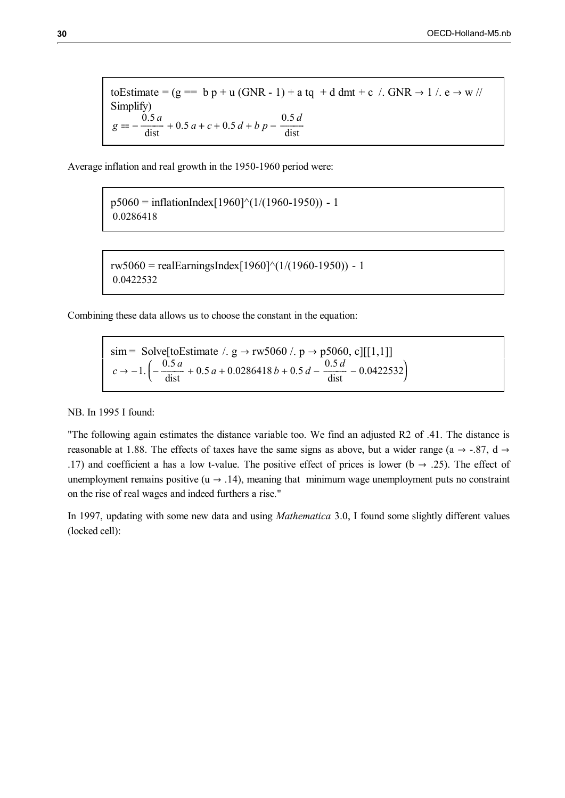toEstimate =  $(g = b p + u (GNR - 1) + a tq + d dmt + c$  /.  $GNR \rightarrow 1$  /.  $e \rightarrow w$  // Simplify)  $g = -\frac{0.5 a}{\text{dist}} + 0.5 a + c + 0.5 d + b p - \frac{0.5 d}{\text{dist}}$ 

Average inflation and real growth in the 1950-1960 period were:

 $p5060 = inflationIndex[1960]^{(1)}(1/(1960-1950)) - 1$ 0.0286418

rw5060 = realEarningsIndex $[1960]$ <sup> $\land$ </sup> $(1/(1960-1950))$  - 1 0.0422532

Combining these data allows us to choose the constant in the equation:

sim = Solve[toEstimate /. g  $\rightarrow$  rw5060 /. p  $\rightarrow$  p5060, c][[1,1]]  $c \rightarrow -1.$  $\overline{\phantom{0}}$  $\left(-\frac{0.5 a}{\text{dist}} + 0.5 a + 0.0286418 b + 0.5 d - \frac{0.5 d}{\text{dist}} - 0.0422532\right)$  $\overline{\phantom{a}}$  $\cdot$ 

NB. In 1995 I found:

"The following again estimates the distance variable too. We find an adjusted R2 of .41. The distance is reasonable at 1.88. The effects of taxes have the same signs as above, but a wider range (a  $\rightarrow$  -.87, d  $\rightarrow$ .17) and coefficient a has a low t-value. The positive effect of prices is lower ( $b \rightarrow .25$ ). The effect of unemployment remains positive ( $u \rightarrow .14$ ), meaning that minimum wage unemployment puts no constraint on the rise of real wages and indeed furthers a rise."

In 1997, updating with some new data and using *Mathematica* 3.0, I found some slightly different values (locked cell):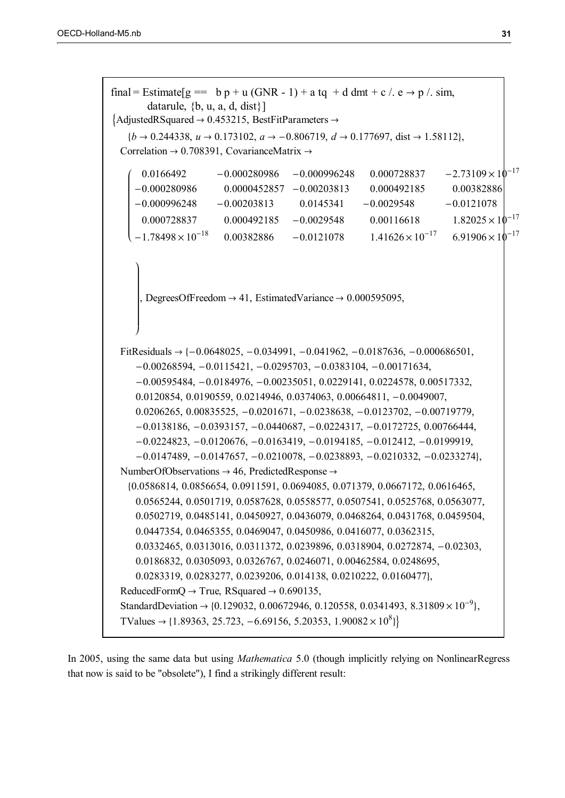```
final = Estimate g = b p + u (GNR - 1) + a tq + d dmt + c /. e \rightarrow p /. sim,
         datarule, \{b, u, a, d, dist\}\{AdjustedRSquared \rightarrow 0.453215, BestFitParameters \rightarrow{b \rightarrow 0.244338, u \rightarrow 0.173102, a \rightarrow -0.806719, d \rightarrow 0.177697, dist \rightarrow 1.58112},Correlation \rightarrow 0.708391, CovarianceMatrix \rightarrowſ
    \overline{\phantom{0}}I
    I
    \mathsf II
    \mathsf{l}I
    \mathsf II
    \mathsf II
    \overline{\mathcal{C}}0.0166492 -0.000280986 -0.000996248 -0.000728837 -2.73109\times10^{-17}0.000280986 0.0000452857 0.00203813 0.000492185 0.00382886
     -0.000996248 - 0.00203813 - 0.0145341 - 0.0029548 - 0.01210780.000728837 0.000492185 -0.0029548 0.00116618 1.82025\times10^{-17}-1.78498\times10^{-18} 0.00382886 -0.0121078 1.41626\times10^{-17} 6.91906\times10^{-17}\mathbf{I}\overline{\phantom{a}}\mathbf{I}\mathsf{l}\mathsf{l}\mathbf{I}\overline{\phantom{a}}\mathbf{I}\mathsf{l}\mathbf{I}\mathsf{l}\mathsf{l}\overline{\phantom{a}}J
        DegreesOfFreedom \rightarrow 41, EstimatedVariance \rightarrow 0.000595095,
  FitResiduals \rightarrow {-0.0648025, -0.034991, -0.041962, -0.0187636, -0.000686501,
      -0.00268594, -0.0115421, -0.0295703, -0.0383104, -0.00171634,-0.00595484, -0.0184976, -0.00235051, 0.0229141, 0.0224578, 0.00517332,0.0120854, 0.0190559, 0.0214946, 0.0374063, 0.00664811, 0.0049007,
      0.0206265, 0.00835525, -0.0201671, -0.0238638, -0.0123702, -0.00719779,-0.0138186, -0.0393157, -0.0440687, -0.0224317, -0.0172725, 0.00766444,-0.0224823, -0.0120676, -0.0163419, -0.0194185, -0.012412, -0.0199919,-0.0147489, -0.0147657, -0.0210078, -0.0238893, -0.0210332, -0.0233274NumberOfObservations \rightarrow 46, PredictedResponse \rightarrow0.0586814, 0.0856654, 0.0911591, 0.0694085, 0.071379, 0.0667172, 0.0616465,
      0.0565244, 0.0501719, 0.0587628, 0.0558577, 0.0507541, 0.0525768, 0.0563077,
      0.0502719, 0.0485141, 0.0450927, 0.0436079, 0.0468264, 0.0431768, 0.0459504,
      0.0447354, 0.0465355, 0.0469047, 0.0450986, 0.0416077, 0.0362315,
      0.0332465, 0.0313016, 0.0311372, 0.0239896, 0.0318904, 0.0272874, -0.02303,
      0.0186832, 0.0305093, 0.0326767, 0.0246071, 0.00462584, 0.0248695,
      0.0283319, 0.0283277, 0.0239206, 0.014138, 0.0210222, 0.0160477,
  ReducedFormQ \rightarrow True, RSquared \rightarrow 0.690135,
  StandardDeviation \rightarrow {0.129032, 0.00672946, 0.120558, 0.0341493, 8.31809 \times 10<sup>-9</sup>},
  TValues \rightarrow {1.89363, 25.723, -6.69156, 5.20353, 1.90082 \times 10<sup>8</sup>}}
```
In 2005, using the same data but using *Mathematica* 5.0 (though implicitly relying on NonlinearRegress that now is said to be "obsolete"), I find a strikingly different result: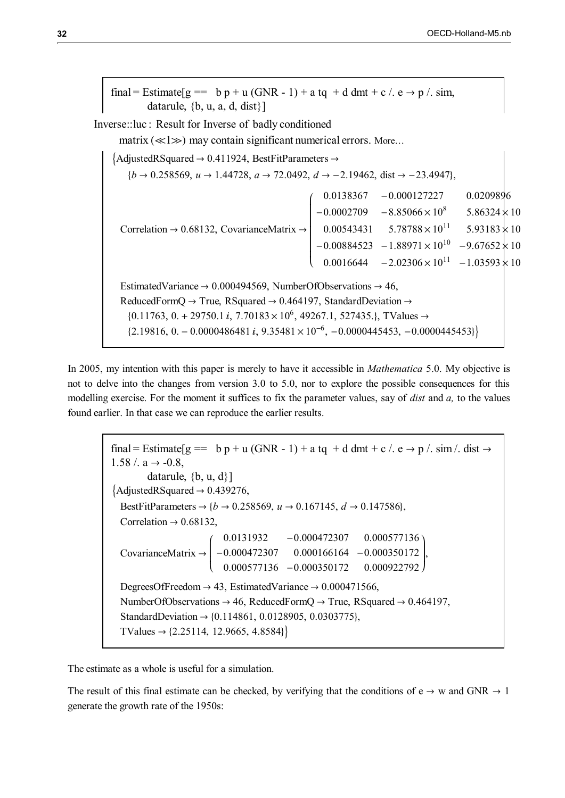final = Estimate  $g = b p + u$  (GNR - 1) + a tq + d dmt + c /. e  $\rightarrow p$  /. sim, datarule,  $\{b, u, a, d, dist\}$ Inverse::luc : Result for Inverse of badly conditioned matrix  $(\ll 1 \gg)$  may contain significant numerical errors. More...  $\{AdjustedRSquared \rightarrow 0.411924, BestFitParameters \rightarrow$  ${b \rightarrow 0.258569, u \rightarrow 1.44728, a \rightarrow 72.0492, d \rightarrow -2.19462, dist \rightarrow -23.4947},$ Correlation  $\rightarrow$  0.68132, CovarianceMatrix  $\rightarrow$   $\overline{\phantom{a}}$  $-0.000127227$  0.0209896  $-0.0002709 - 8.85066 \times 10^8$  5.86324  $\times$  10  $0.00543431$   $5.78788\times10^{11}$   $5.93183\times10^{11}$  $-0.00884523 -1.88971 \times 10^{10} -9.67652 \times 10$ 0.016644  $-2.02306\times10^{11}$   $-1.03593\times10^{11}$ EstimatedVariance  $\rightarrow 0.000494569$ , NumberOfObservations  $\rightarrow 46$ , ReducedFormQ  $\rightarrow$  True, RSquared  $\rightarrow$  0.464197, StandardDeviation  $\rightarrow$  $\{0.11763, 0. + 29750.1 \text{ i}, 7.70183 \times 10^6, 49267.1, 527435. \}$ , TValues  $\rightarrow$  $\{2.19816, 0. -0.0000486481 \text{ i}, 9.35481 \times 10^{-6}, -0.0000445453, -0.0000445453\}$ 

In 2005, my intention with this paper is merely to have it accessible in *Mathematica* 5.0. My objective is not to delve into the changes from version 3.0 to 5.0, nor to explore the possible consequences for this modelling exercise. For the moment it suffices to fix the parameter values, say of *dist* and *a,* to the values found earlier. In that case we can reproduce the earlier results.

final = Estimate  $g = b p + u$  (GNR - 1) + a tq + d dmt + c /. e  $\rightarrow p$  /. sim /. dist  $\rightarrow$  $1.58$  /. a  $\rightarrow$  -0.8, datarule,  $\{b, u, d\}$ ]  $\text{AdjustedRSquared} \rightarrow 0.439276,$ BestFitParameters  $\rightarrow$  { $b \rightarrow 0.258569$ ,  $u \rightarrow 0.167145$ ,  $d \rightarrow 0.147586$ }, Correlation  $\rightarrow$  0.68132, CovarianceMatrix ſ  $\overline{\phantom{a}}$  $\overline{\phantom{a}}$ 0.0131932 -0.000472307 0.000577136  $-0.000472307$   $0.000166164$   $-0.000350172$ 0.000577136 -0.000350172 0.000922792  $\overline{\phantom{a}}$  $\overline{\phantom{a}}$   $0.000922792$ |<br>|-DegreesOfFreedom  $\rightarrow$  43, EstimatedVariance  $\rightarrow$  0.000471566, NumberOfObservations  $\rightarrow$  46, ReducedFormQ  $\rightarrow$  True, RSquared  $\rightarrow$  0.464197, StandardDeviation  $\rightarrow$  {0.114861, 0.0128905, 0.0303775}, TValues  $\rightarrow$  {2.25114, 12.9665, 4.8584}}

The estimate as a whole is useful for a simulation.

The result of this final estimate can be checked, by verifying that the conditions of  $e \rightarrow w$  and GNR  $\rightarrow 1$ generate the growth rate of the 1950s: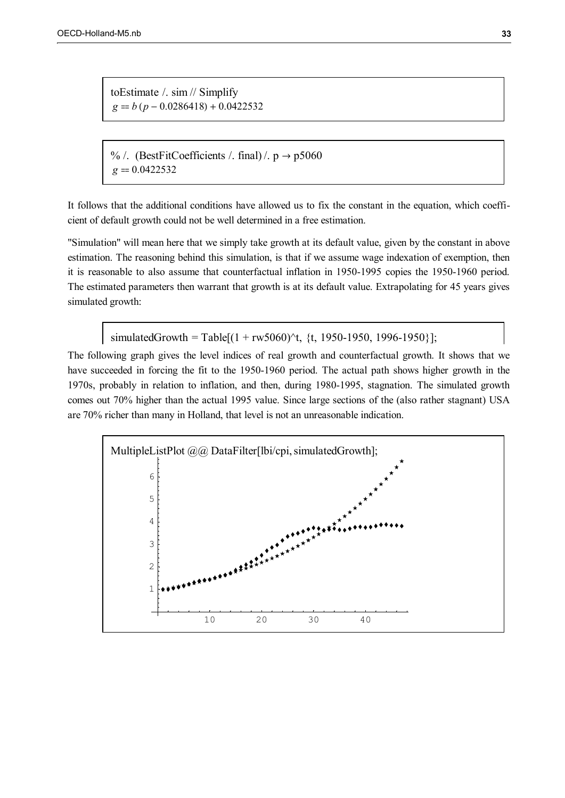toEstimate /. sim // Simplify  $g = b (p - 0.0286418) + 0.0422532$ 

% /. (BestFitCoefficients /. final) /.  $p \rightarrow p5060$  $g = 0.0422532$ 

It follows that the additional conditions have allowed us to fix the constant in the equation, which coefficient of default growth could not be well determined in a free estimation.

"Simulation" will mean here that we simply take growth at its default value, given by the constant in above estimation. The reasoning behind this simulation, is that if we assume wage indexation of exemption, then it is reasonable to also assume that counterfactual inflation in 1950-1995 copies the 1950-1960 period. The estimated parameters then warrant that growth is at its default value. Extrapolating for 45 years gives simulated growth:

simulatedGrowth = Table[ $(1 + rw5060)^{x}$ t, {t, 1950-1950, 1996-1950}];

The following graph gives the level indices of real growth and counterfactual growth. It shows that we have succeeded in forcing the fit to the 1950-1960 period. The actual path shows higher growth in the 1970s, probably in relation to inflation, and then, during 1980-1995, stagnation. The simulated growth comes out 70% higher than the actual 1995 value. Since large sections of the (also rather stagnant) USA are 70% richer than many in Holland, that level is not an unreasonable indication.

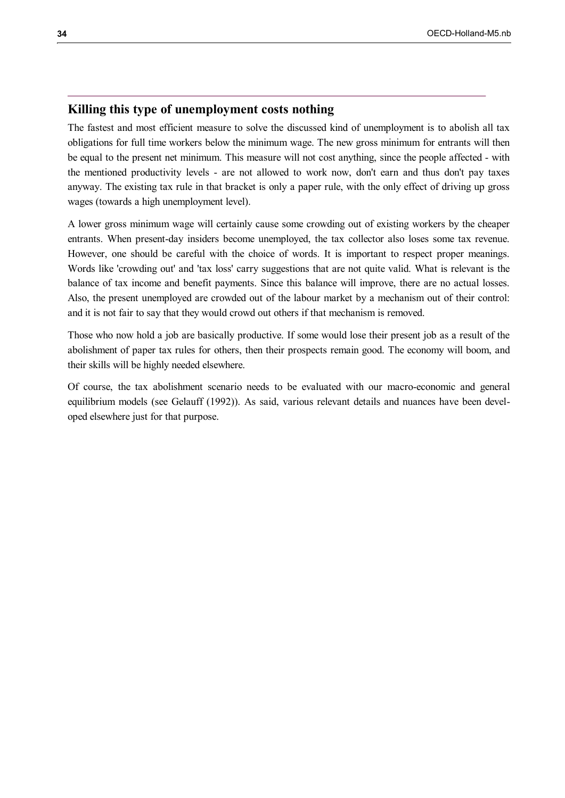## **Killing this type of unemployment costs nothing**

The fastest and most efficient measure to solve the discussed kind of unemployment is to abolish all tax obligations for full time workers below the minimum wage. The new gross minimum for entrants will then be equal to the present net minimum. This measure will not cost anything, since the people affected - with the mentioned productivity levels - are not allowed to work now, don't earn and thus don't pay taxes anyway. The existing tax rule in that bracket is only a paper rule, with the only effect of driving up gross wages (towards a high unemployment level).

A lower gross minimum wage will certainly cause some crowding out of existing workers by the cheaper entrants. When present-day insiders become unemployed, the tax collector also loses some tax revenue. However, one should be careful with the choice of words. It is important to respect proper meanings. Words like 'crowding out' and 'tax loss' carry suggestions that are not quite valid. What is relevant is the balance of tax income and benefit payments. Since this balance will improve, there are no actual losses. Also, the present unemployed are crowded out of the labour market by a mechanism out of their control: and it is not fair to say that they would crowd out others if that mechanism is removed.

Those who now hold a job are basically productive. If some would lose their present job as a result of the abolishment of paper tax rules for others, then their prospects remain good. The economy will boom, and their skills will be highly needed elsewhere.

Of course, the tax abolishment scenario needs to be evaluated with our macro-economic and general equilibrium models (see Gelauff (1992)). As said, various relevant details and nuances have been developed elsewhere just for that purpose.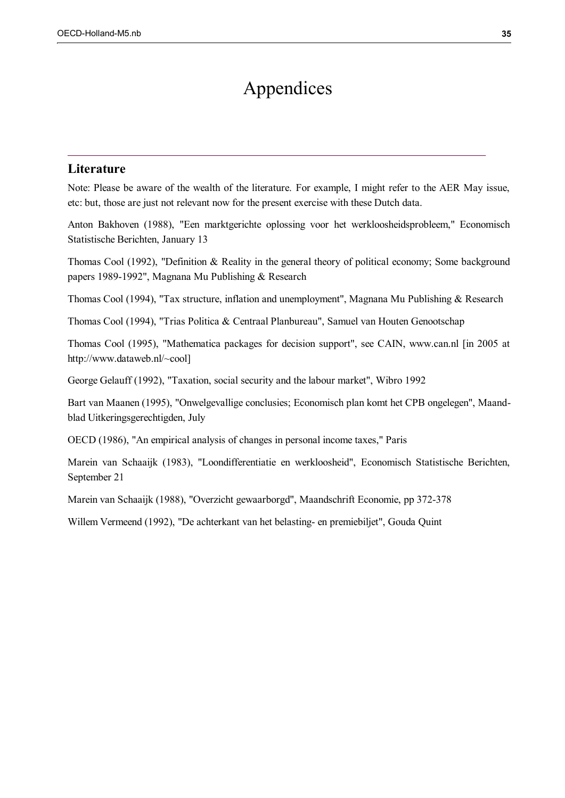## Appendices

## **Literature**

Note: Please be aware of the wealth of the literature. For example, I might refer to the AER May issue, etc: but, those are just not relevant now for the present exercise with these Dutch data.

Anton Bakhoven (1988), "Een marktgerichte oplossing voor het werkloosheidsprobleem," Economisch Statistische Berichten, January 13

Thomas Cool (1992), "Definition & Reality in the general theory of political economy; Some background papers 1989-1992", Magnana Mu Publishing & Research

Thomas Cool (1994), "Tax structure, inflation and unemployment", Magnana Mu Publishing & Research

Thomas Cool (1994), "Trias Politica & Centraal Planbureau", Samuel van Houten Genootschap

Thomas Cool (1995), "Mathematica packages for decision support", see CAIN, www.can.nl [in 2005 at http://www.dataweb.nl/~cool]

George Gelauff (1992), "Taxation, social security and the labour market", Wibro 1992

Bart van Maanen (1995), "Onwelgevallige conclusies; Economisch plan komt het CPB ongelegen", Maandblad Uitkeringsgerechtigden, July

OECD (1986), "An empirical analysis of changes in personal income taxes," Paris

Marein van Schaaijk (1983), "Loondifferentiatie en werkloosheid", Economisch Statistische Berichten, September 21

Marein van Schaaijk (1988), "Overzicht gewaarborgd", Maandschrift Economie, pp 372-378

Willem Vermeend (1992), "De achterkant van het belasting- en premiebiljet", Gouda Quint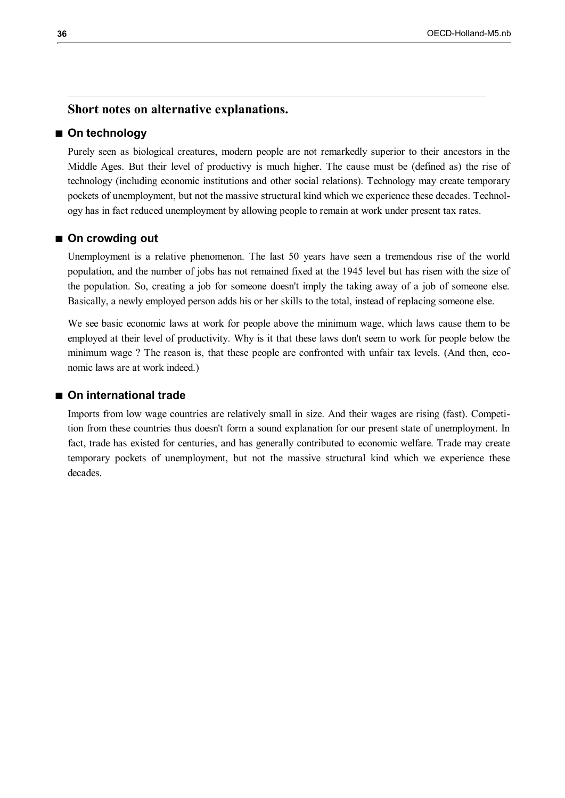## **Short notes on alternative explanations.**

## ■ On technology

Purely seen as biological creatures, modern people are not remarkedly superior to their ancestors in the Middle Ages. But their level of productivy is much higher. The cause must be (defined as) the rise of technology (including economic institutions and other social relations). Technology may create temporary pockets of unemployment, but not the massive structural kind which we experience these decades. Technology has in fact reduced unemployment by allowing people to remain at work under present tax rates.

#### ■ On crowding out

Unemployment is a relative phenomenon. The last 50 years have seen a tremendous rise of the world population, and the number of jobs has not remained fixed at the 1945 level but has risen with the size of the population. So, creating a job for someone doesn't imply the taking away of a job of someone else. Basically, a newly employed person adds his or her skills to the total, instead of replacing someone else.

We see basic economic laws at work for people above the minimum wage, which laws cause them to be employed at their level of productivity. Why is it that these laws don't seem to work for people below the minimum wage ? The reason is, that these people are confronted with unfair tax levels. (And then, economic laws are at work indeed.)

## **On international trade**

Imports from low wage countries are relatively small in size. And their wages are rising (fast). Competition from these countries thus doesn't form a sound explanation for our present state of unemployment. In fact, trade has existed for centuries, and has generally contributed to economic welfare. Trade may create temporary pockets of unemployment, but not the massive structural kind which we experience these decades.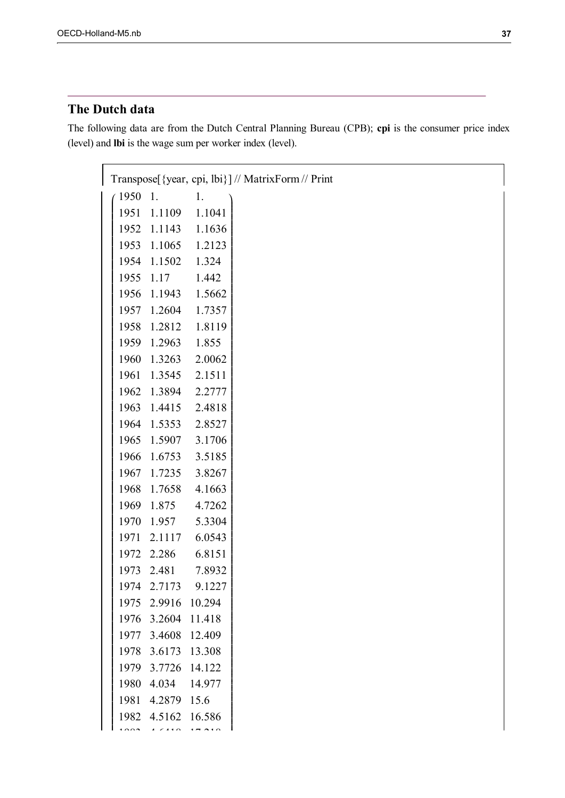## **The Dutch data**

The following data are from the Dutch Central Planning Bureau (CPB); **cpi** is the consumer price index (level) and **lbi** is the wage sum per worker index (level).

| Transpose [{year, cpi, lbi}] // MatrixForm // Print |                    |                    |  |  |  |  |
|-----------------------------------------------------|--------------------|--------------------|--|--|--|--|
| 1950                                                | 1.                 | 1.                 |  |  |  |  |
|                                                     |                    | 1951 1.1109 1.1041 |  |  |  |  |
|                                                     |                    | 1952 1.1143 1.1636 |  |  |  |  |
|                                                     |                    | 1953 1.1065 1.2123 |  |  |  |  |
|                                                     | 1954 1.1502 1.324  |                    |  |  |  |  |
|                                                     | 1955 1.17 1.442    |                    |  |  |  |  |
|                                                     |                    | 1956 1.1943 1.5662 |  |  |  |  |
|                                                     |                    | 1957 1.2604 1.7357 |  |  |  |  |
|                                                     |                    | 1958 1.2812 1.8119 |  |  |  |  |
|                                                     | 1959 1.2963 1.855  |                    |  |  |  |  |
|                                                     |                    | 1960 1.3263 2.0062 |  |  |  |  |
|                                                     |                    | 1961 1.3545 2.1511 |  |  |  |  |
|                                                     |                    | 1962 1.3894 2.2777 |  |  |  |  |
|                                                     |                    | 1963 1.4415 2.4818 |  |  |  |  |
|                                                     |                    | 1964 1.5353 2.8527 |  |  |  |  |
|                                                     |                    | 1965 1.5907 3.1706 |  |  |  |  |
|                                                     |                    | 1966 1.6753 3.5185 |  |  |  |  |
|                                                     |                    | 1967 1.7235 3.8267 |  |  |  |  |
|                                                     |                    | 1968 1.7658 4.1663 |  |  |  |  |
|                                                     |                    | 1969 1.875 4.7262  |  |  |  |  |
|                                                     |                    | 1970 1.957 5.3304  |  |  |  |  |
|                                                     |                    | 1971 2.1117 6.0543 |  |  |  |  |
|                                                     |                    | 1972 2.286 6.8151  |  |  |  |  |
|                                                     |                    | 1973 2.481 7.8932  |  |  |  |  |
|                                                     |                    | 1974 2.7173 9.1227 |  |  |  |  |
| 1975                                                | 2.9916             | 10.294             |  |  |  |  |
| 1976                                                | 3.2604             | 11.418             |  |  |  |  |
| 1977                                                | 3.4608             | 12.409             |  |  |  |  |
| 1978                                                | 3.6173 13.308      |                    |  |  |  |  |
| 1979                                                | 3.7726             | 14.122             |  |  |  |  |
| 1980                                                | 4.034              | 14.977             |  |  |  |  |
| 1981                                                | 4.2879             | 15.6               |  |  |  |  |
|                                                     | 1982 4.5162 16.586 |                    |  |  |  |  |
|                                                     |                    |                    |  |  |  |  |